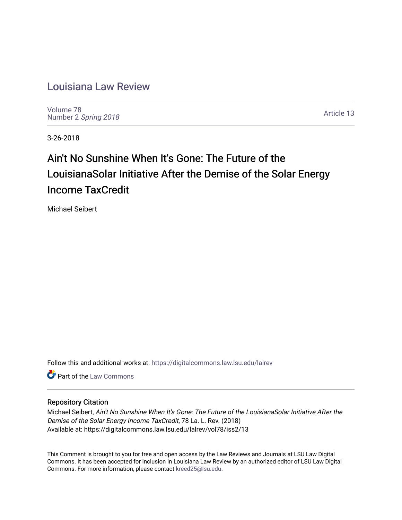# [Louisiana Law Review](https://digitalcommons.law.lsu.edu/lalrev)

[Volume 78](https://digitalcommons.law.lsu.edu/lalrev/vol78) Number 2 [Spring 2018](https://digitalcommons.law.lsu.edu/lalrev/vol78/iss2) 

[Article 13](https://digitalcommons.law.lsu.edu/lalrev/vol78/iss2/13) 

3-26-2018

# Ain't No Sunshine When It's Gone: The Future of the LouisianaSolar Initiative After the Demise of the Solar Energy Income TaxCredit

Michael Seibert

Follow this and additional works at: [https://digitalcommons.law.lsu.edu/lalrev](https://digitalcommons.law.lsu.edu/lalrev?utm_source=digitalcommons.law.lsu.edu%2Flalrev%2Fvol78%2Fiss2%2F13&utm_medium=PDF&utm_campaign=PDFCoverPages)

**C** Part of the [Law Commons](http://network.bepress.com/hgg/discipline/578?utm_source=digitalcommons.law.lsu.edu%2Flalrev%2Fvol78%2Fiss2%2F13&utm_medium=PDF&utm_campaign=PDFCoverPages)

# Repository Citation

Michael Seibert, Ain't No Sunshine When It's Gone: The Future of the LouisianaSolar Initiative After the Demise of the Solar Energy Income TaxCredit, 78 La. L. Rev. (2018) Available at: https://digitalcommons.law.lsu.edu/lalrev/vol78/iss2/13

This Comment is brought to you for free and open access by the Law Reviews and Journals at LSU Law Digital Commons. It has been accepted for inclusion in Louisiana Law Review by an authorized editor of LSU Law Digital Commons. For more information, please contact [kreed25@lsu.edu](mailto:kreed25@lsu.edu).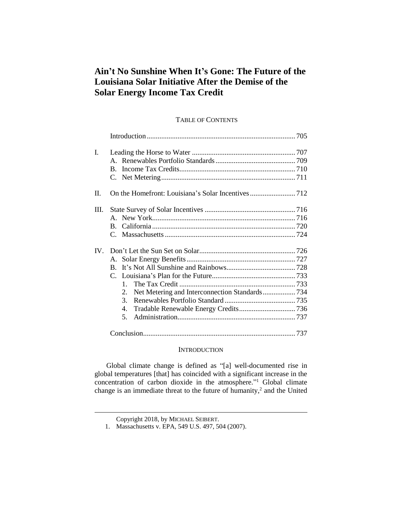# **Ain't No Sunshine When It's Gone: The Future of the Louisiana Solar Initiative After the Demise of the Solar Energy Income Tax Credit**

# TABLE OF CONTENTS

| I.   | $B_{\cdot}$                                      |  |
|------|--------------------------------------------------|--|
| II.  |                                                  |  |
| III. |                                                  |  |
| IV.  | $\mathbf{1}$<br>2.<br>3.<br>4.<br>5 <sub>1</sub> |  |
|      |                                                  |  |

# **INTRODUCTION**

Global climate change is defined as "[a] well-documented rise in global temperatures [that] has coincided with a significant increase in the concentration of carbon dioxide in the atmosphere." <sup>1</sup> Global climate change is an immediate threat to the future of humanity, 2 and the United

Copyright 2018, by MICHAEL SEIBERT.

<sup>1.</sup> Massachusetts v. EPA, 549 U.S. 497, 504 (2007).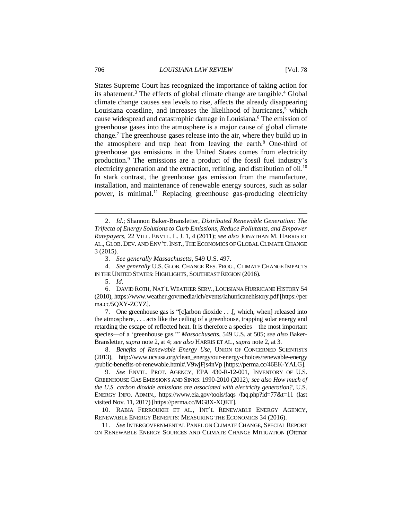States Supreme Court has recognized the importance of taking action for its abatement.<sup>3</sup> The effects of global climate change are tangible.<sup>4</sup> Global climate change causes sea levels to rise, affects the already disappearing Louisiana coastline, and increases the likelihood of hurricanes, $<sup>5</sup>$  which</sup> cause widespread and catastrophic damage in Louisiana.<sup>6</sup> The emission of greenhouse gases into the atmosphere is a major cause of global climate change.<sup>7</sup> The greenhouse gases release into the air, where they build up in the atmosphere and trap heat from leaving the earth. $8$  One-third of greenhouse gas emissions in the United States comes from electricity production.<sup>9</sup> The emissions are a product of the fossil fuel industry's electricity generation and the extraction, refining, and distribution of oil.<sup>10</sup> In stark contrast, the greenhouse gas emission from the manufacture, installation, and maintenance of renewable energy sources, such as solar power, is minimal.<sup>11</sup> Replacing greenhouse gas-producing electricity

5. *Id.*

 $\overline{a}$ 

7. One greenhouse gas is "[c]arbon dioxide . . .[, which, when] released into the atmosphere, . . . acts like the ceiling of a greenhouse, trapping solar energy and retarding the escape of reflected heat. It is therefore a species—the most important species—of a 'greenhouse gas.'" *Massachusetts*, 549 U.S. at 505; *see also* Baker-Bransletter, *supra* note 2, at 4; *see also* HARRIS ET AL., *supra* note 2, at 3.

8. *Benefits of Renewable Energy Use*, UNION OF CONCERNED SCIENTISTS (2013), http://www.ucsusa.org/clean\_energy/our-energy-choices/renewable-energy /public-benefits-of-renewable.html#.V9wjFjs4nVp [https://perma.cc/46EK-YALG].

9. *See* ENVTL. PROT. AGENCY, EPA 430-R-12-001, INVENTORY OF U.S. GREENHOUSE GAS EMISSIONS AND SINKS: 1990-2010 (2012)*; see also How much of the U.S. carbon dioxide emissions are associated with electricity generation?*, U.S. ENERGY INFO. ADMIN., https://www.eia.gov/tools/faqs /faq.php?id=77&t=11 (last visited Nov. 11, 2017) [https://perma.cc/MG8X-XQET].

10. RABIA FERROUKHI ET AL., INT'L RENEWABLE ENERGY AGENCY, RENEWABLE ENERGY BENEFITS: MEASURING THE ECONOMICS 34 (2016).

11. *See* INTERGOVERNMENTAL PANEL ON CLIMATE CHANGE, SPECIAL REPORT ON RENEWABLE ENERGY SOURCES AND CLIMATE CHANGE MITIGATION (Ottmar

<sup>2.</sup> *Id.*; Shannon Baker-Bransletter, *Distributed Renewable Generation: The Trifecta of Energy Solutions to Curb Emissions, Reduce Pollutants, and Empower Ratepayers*, 22 VILL. ENVTL. L. J. 1, 4 (2011); *see also* JONATHAN M. HARRIS ET AL., GLOB. DEV. AND ENV'T.INST., THE ECONOMICS OF GLOBAL CLIMATE CHANGE 3 (2015).

<sup>3.</sup> *See generally Massachusetts*, 549 U.S. 497.

<sup>4.</sup> *See generally* U.S. GLOB. CHANGE RES. PROG., CLIMATE CHANGE IMPACTS IN THE UNITED STATES: HIGHLIGHTS, SOUTHEAST REGION (2016).

<sup>6.</sup> DAVID ROTH, NAT'L WEATHER SERV., LOUISIANA HURRICANE HISTORY 54 (2010), https://www.weather.gov/media/lch/events/lahurricanehistory.pdf [https://per ma.cc/5QXY-ZCYZ].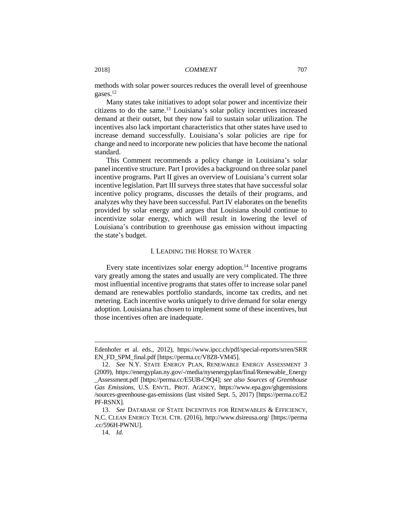methods with solar power sources reduces the overall level of greenhouse gases.<sup>12</sup>

Many states take initiatives to adopt solar power and incentivize their citizens to do the same.<sup>13</sup> Louisiana's solar policy incentives increased demand at their outset, but they now fail to sustain solar utilization. The incentives also lack important characteristics that other states have used to increase demand successfully. Louisiana's solar policies are ripe for change and need to incorporate new policies that have become the national standard.

This Comment recommends a policy change in Louisiana's solar panel incentive structure. Part I provides a background on three solar panel incentive programs. Part II gives an overview of Louisiana's current solar incentive legislation. Part III surveys three states that have successful solar incentive policy programs, discusses the details of their programs, and analyzes why they have been successful. Part IV elaborates on the benefits provided by solar energy and argues that Louisiana should continue to incentivize solar energy, which will result in lowering the level of Louisiana's contribution to greenhouse gas emission without impacting the state's budget.

#### I. LEADING THE HORSE TO WATER

Every state incentivizes solar energy adoption.<sup>14</sup> Incentive programs vary greatly among the states and usually are very complicated. The three most influential incentive programs that states offer to increase solar panel demand are renewables portfolio standards, income tax credits, and net metering. Each incentive works uniquely to drive demand for solar energy adoption. Louisiana has chosen to implement some of these incentives, but those incentives often are inadequate.

Edenhofer et al. eds., 2012), https://www.ipcc.ch/pdf/special-reports/srren/SRR EN\_FD\_SPM\_final.pdf [https://perma.cc/V8Z8-VM45].

<sup>12.</sup> *See* N.Y. STATE ENERGY PLAN, RENEWABLE ENERGY ASSESSMENT 3 (2009), https://energyplan.ny.gov/-/media/nysenergyplan/final/Renewable\_Energy \_Assessment.pdf [https://perma.cc/E5UB-C9Q4]; *see also Sources of Greenhouse Gas Emissions*, U.S. ENVTL. PROT. AGENCY, https://www.epa.gov/ghgemissions /sources-greenhouse-gas-emissions (last visited Sept. 5, 2017) [https://perma.cc/E2 PF-RSNX].

<sup>13.</sup> *See* DATABASE OF STATE INCENTIVES FOR RENEWABLES & EFFICIENCY, N.C. CLEAN ENERGY TECH. CTR. (2016), http://www.dsireusa.org/ [https://perma .cc/596H-PWNU].

<sup>14.</sup> *Id.*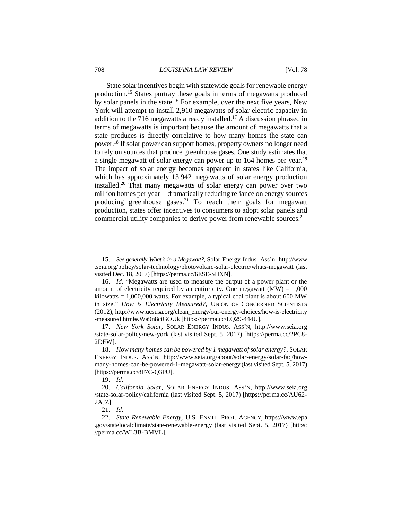State solar incentives begin with statewide goals for renewable energy production.<sup>15</sup> States portray these goals in terms of megawatts produced by solar panels in the state.<sup>16</sup> For example, over the next five years, New York will attempt to install 2,910 megawatts of solar electric capacity in addition to the 716 megawatts already installed.<sup>17</sup> A discussion phrased in terms of megawatts is important because the amount of megawatts that a state produces is directly correlative to how many homes the state can power.<sup>18</sup> If solar power can support homes, property owners no longer need to rely on sources that produce greenhouse gases. One study estimates that a single megawatt of solar energy can power up to 164 homes per year.<sup>19</sup> The impact of solar energy becomes apparent in states like California, which has approximately 13,942 megawatts of solar energy production installed.<sup>20</sup> That many megawatts of solar energy can power over two million homes per year—dramatically reducing reliance on energy sources producing greenhouse gases.<sup>21</sup> To reach their goals for megawatt production, states offer incentives to consumers to adopt solar panels and commercial utility companies to derive power from renewable sources.<sup>22</sup>

19. *Id.*

<sup>15.</sup> *See generally What's in a Megawatt?*, Solar Energy Indus. Ass'n, http://www .seia.org/policy/solar-technology/photovoltaic-solar-electric/whats-megawatt (last visited Dec. 18, 2017) [https://perma.cc/6ESE-SHXN].

<sup>16.</sup> *Id.* "Megawatts are used to measure the output of a power plant or the amount of electricity required by an entire city. One megawatt  $(MW) = 1,000$ kilowatts  $= 1,000,000$  watts. For example, a typical coal plant is about 600 MW in size." *How is Electricity Measured?*, UNION OF CONCERNED SCIENTISTS (2012), http://www.ucsusa.org/clean\_energy/our-energy-choices/how-is-electricity -measured.html#.Wa9n8ciGOUk [https://perma.cc/LQ29-444U].

<sup>17.</sup> *New York Solar*, SOLAR ENERGY INDUS. ASS'N, http://www.seia.org /state-solar-policy/new-york (last visited Sept. 5, 2017) [https://perma.cc/2PC8- 2DFW].

<sup>18.</sup> *How many homes can be powered by 1 megawatt of solar energy?*, SOLAR ENERGY INDUS. ASS'N, http://www.seia.org/about/solar-energy/solar-faq/howmany-homes-can-be-powered-1-megawatt-solar-energy (last visited Sept. 5, 2017) [https://perma.cc/8F7C-Q3PU].

<sup>20.</sup> *California Solar*, SOLAR ENERGY INDUS. ASS'N, http://www.seia.org /state-solar-policy/california (last visited Sept. 5, 2017) [https://perma.cc/AU62- 2AJZ].

<sup>21.</sup> *Id.*

<sup>22.</sup> *State Renewable Energy*, U.S. ENVTL. PROT. AGENCY, https://www.epa .gov/statelocalclimate/state-renewable-energy (last visited Sept. 5, 2017) [https: //perma.cc/WL3B-BMVL].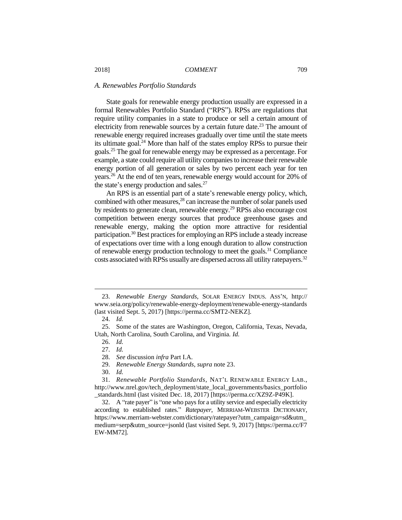#### *A. Renewables Portfolio Standards*

State goals for renewable energy production usually are expressed in a formal Renewables Portfolio Standard ("RPS"). RPSs are regulations that require utility companies in a state to produce or sell a certain amount of electricity from renewable sources by a certain future date.<sup>23</sup> The amount of renewable energy required increases gradually over time until the state meets its ultimate goal. <sup>24</sup> More than half of the states employ RPSs to pursue their goals.<sup>25</sup> The goal for renewable energy may be expressed as a percentage. For example, a state could require all utility companies to increase their renewable energy portion of all generation or sales by two percent each year for ten years.<sup>26</sup> At the end of ten years, renewable energy would account for 20% of the state's energy production and sales. $27$ 

An RPS is an essential part of a state's renewable energy policy, which, combined with other measures, <sup>28</sup> can increase the number of solar panels used by residents to generate clean, renewable energy.<sup>29</sup> RPSs also encourage cost competition between energy sources that produce greenhouse gases and renewable energy, making the option more attractive for residential participation.<sup>30</sup> Best practices for employing an RPS include a steady increase of expectations over time with a long enough duration to allow construction of renewable energy production technology to meet the goals.<sup>31</sup> Compliance costs associated with RPSs usually are dispersed across all utility ratepayers.<sup>32</sup>

<sup>23.</sup> *Renewable Energy Standards*, SOLAR ENERGY INDUS. ASS'N, http:// www.seia.org/policy/renewable-energy-deployment/renewable-energy-standards (last visited Sept. 5, 2017) [https://perma.cc/SMT2-NEKZ].

<sup>24.</sup> *Id.*

<sup>25.</sup> Some of the states are Washington, Oregon, California, Texas, Nevada, Utah, North Carolina, South Carolina, and Virginia. *Id.*

<sup>26.</sup> *Id.*

<sup>27.</sup> *Id.*

<sup>28.</sup> *See* discussion *infra* Part I.A.

<sup>29.</sup> *Renewable Energy Standards*, *supra* note 23.

<sup>30.</sup> *Id.*

<sup>31.</sup> *Renewable Portfolio Standards*, NAT'L RENEWABLE ENERGY LAB., http://www.nrel.gov/tech\_deployment/state\_local\_governments/basics\_portfolio \_standards.html (last visited Dec. 18, 2017) [https://perma.cc/XZ9Z-P49K].

<sup>32.</sup> A "rate payer" is "one who pays for a utility service and especially electricity according to established rates." *Ratepayer*, MERRIAM-WEBSTER DICTIONARY, https://www.merriam-webster.com/dictionary/ratepayer?utm\_campaign=sd&utm\_ medium=serp&utm\_source=jsonld (last visited Sept. 9, 2017) [https://perma.cc/F7 EW-MM72].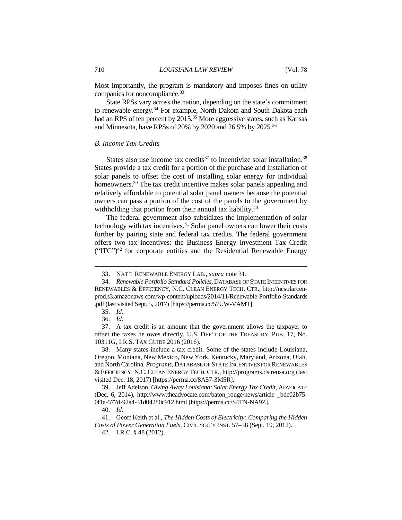Most importantly, the program is mandatory and imposes fines on utility companies for noncompliance.<sup>33</sup>

State RPSs vary across the nation, depending on the state's commitment to renewable energy.<sup>34</sup> For example, North Dakota and South Dakota each had an RPS of ten percent by 2015.<sup>35</sup> More aggressive states, such as Kansas and Minnesota, have RPSs of 20% by 2020 and 26.5% by 2025.<sup>36</sup>

# *B. Income Tax Credits*

States also use income tax credits<sup>37</sup> to incentivize solar installation.<sup>38</sup> States provide a tax credit for a portion of the purchase and installation of solar panels to offset the cost of installing solar energy for individual homeowners.<sup>39</sup> The tax credit incentive makes solar panels appealing and relatively affordable to potential solar panel owners because the potential owners can pass a portion of the cost of the panels to the government by withholding that portion from their annual tax liability.<sup>40</sup>

The federal government also subsidizes the implementation of solar technology with tax incentives.<sup>41</sup> Solar panel owners can lower their costs further by pairing state and federal tax credits. The federal government offers two tax incentives: the Business Energy Investment Tax Credit  $("TTC")<sup>42</sup>$  for corporate entities and the Residential Renewable Energy

<sup>33.</sup> NAT'L RENEWABLE ENERGY LAB., *supra* note 31.

<sup>34.</sup> *Renewable Portfolio Standard Policies*, DATABASE OF STATE INCENTIVES FOR RENEWABLES & EFFICIENCY, N.C. CLEAN ENERGY TECH. CTR., http://ncsolarcenprod.s3.amazonaws.com/wp-content/uploads/2014/11/Renewable-Portfolio-Standards .pdf (last visited Sept. 5, 2017) [https://perma.cc/57UW-VAMT].

<sup>35.</sup> *Id.*

<sup>36.</sup> *Id.*

<sup>37.</sup> A tax credit is an amount that the government allows the taxpayer to offset the taxes he owes directly. U.S. DEP'T OF THE TREASURY, PUB. 17, No. 10311G, I.R.S. TAX GUIDE 2016 (2016).

<sup>38.</sup> Many states include a tax credit. Some of the states include Louisiana, Oregon, Montana, New Mexico, New York, Kentucky, Maryland, Arizona, Utah, and North Carolina. *Programs*, DATABASE OF STATE INCENTIVES FOR RENEWABLES & EFFICIENCY, N.C. CLEAN ENERGY TECH. CTR., http://programs.dsireusa.org (last visited Dec. 18, 2017) [https://perma.cc/8A57-3M5R].

<sup>39.</sup> Jeff Adelson, *Giving Away Louisiana: Solar Energy Tax Credit*, ADVOCATE (Dec. 6, 2014), http://www.theadvocate.com/baton\_rouge/news/article \_bdc02b75- 0f1a-577d-92a4-31d04280c912.html [https://perma.cc/S4TN-NA9Z].

<sup>40.</sup> *Id.*

<sup>41.</sup> Geoff Keith et al., *The Hidden Costs of Electricity: Comparing the Hidden Costs of Power Generation Fuels*, CIVIL SOC'Y INST. 57–58 (Sept. 19, 2012).

<sup>42.</sup> I.R.C. § 48 (2012).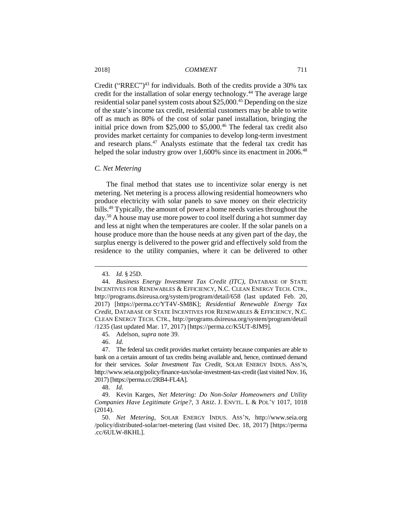Credit ("RREC")<sup>43</sup> for individuals. Both of the credits provide a 30% tax credit for the installation of solar energy technology.<sup>44</sup> The average large residential solar panel system costs about \$25,000<sup>.45</sup> Depending on the size of the state's income tax credit, residential customers may be able to write off as much as 80% of the cost of solar panel installation, bringing the initial price down from \$25,000 to \$5,000.<sup>46</sup> The federal tax credit also provides market certainty for companies to develop long-term investment and research plans.<sup>47</sup> Analysts estimate that the federal tax credit has helped the solar industry grow over 1,600% since its enactment in 2006.<sup>48</sup>

#### *C. Net Metering*

The final method that states use to incentivize solar energy is net metering. Net metering is a process allowing residential homeowners who produce electricity with solar panels to save money on their electricity bills.<sup>49</sup> Typically, the amount of power a home needs varies throughout the day.<sup>50</sup> A house may use more power to cool itself during a hot summer day and less at night when the temperatures are cooler. If the solar panels on a house produce more than the house needs at any given part of the day, the surplus energy is delivered to the power grid and effectively sold from the residence to the utility companies, where it can be delivered to other

<sup>43.</sup> *Id.* § 25D.

<sup>44.</sup> *Business Energy Investment Tax Credit (ITC)*, DATABASE OF STATE INCENTIVES FOR RENEWABLES & EFFICIENCY, N.C. CLEAN ENERGY TECH. CTR., http://programs.dsireusa.org/system/program/detail/658 (last updated Feb. 20, 2017) [https://perma.cc/YT4V-SM8K]; *Residential Renewable Energy Tax Credit*, DATABASE OF STATE INCENTIVES FOR RENEWABLES & EFFICIENCY, N.C. CLEAN ENERGY TECH. CTR., http://programs.dsireusa.org/system/program/detail /1235 (last updated Mar. 17, 2017) [https://perma.cc/K5UT-8JM9].

<sup>45.</sup> Adelson, *supra* note 39.

<sup>46.</sup> *Id.*

<sup>47.</sup> The federal tax credit provides market certainty because companies are able to bank on a certain amount of tax credits being available and, hence, continued demand for their services. *Solar Investment Tax Credit*, SOLAR ENERGY INDUS. ASS'N, http://www.seia.org/policy/finance-tax/solar-investment-tax-credit (last visited Nov. 16, 2017) [https://perma.cc/2RB4-FL4A].

<sup>48.</sup> *Id.*

<sup>49.</sup> Kevin Karges, *Net Metering: Do Non-Solar Homeowners and Utility Companies Have Legitimate Gripe?*, 3 ARIZ. J. ENVTL. L & POL'Y 1017, 1018 (2014).

<sup>50.</sup> *Net Metering*, SOLAR ENERGY INDUS. ASS'N, http://www.seia.org /policy/distributed-solar/net-metering (last visited Dec. 18, 2017) [https://perma .cc/6ULW-8KHL].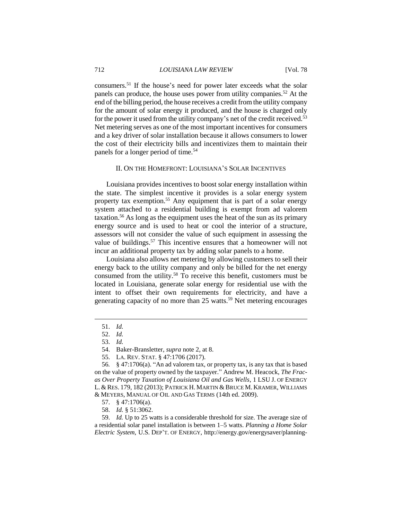consumers.<sup>51</sup> If the house's need for power later exceeds what the solar panels can produce, the house uses power from utility companies.<sup>52</sup> At the end of the billing period, the house receives a credit from the utility company for the amount of solar energy it produced, and the house is charged only for the power it used from the utility company's net of the credit received.<sup>53</sup> Net metering serves as one of the most important incentives for consumers and a key driver of solar installation because it allows consumers to lower the cost of their electricity bills and incentivizes them to maintain their panels for a longer period of time.<sup>54</sup>

# II. ON THE HOMEFRONT: LOUISIANA'S SOLAR INCENTIVES

Louisiana provides incentives to boost solar energy installation within the state. The simplest incentive it provides is a solar energy system property tax exemption.<sup>55</sup> Any equipment that is part of a solar energy system attached to a residential building is exempt from ad valorem taxation.<sup>56</sup> As long as the equipment uses the heat of the sun as its primary energy source and is used to heat or cool the interior of a structure, assessors will not consider the value of such equipment in assessing the value of buildings.<sup>57</sup> This incentive ensures that a homeowner will not incur an additional property tax by adding solar panels to a home.

Louisiana also allows net metering by allowing customers to sell their energy back to the utility company and only be billed for the net energy consumed from the utility.<sup>58</sup> To receive this benefit, customers must be located in Louisiana, generate solar energy for residential use with the intent to offset their own requirements for electricity, and have a generating capacity of no more than 25 watts.<sup>59</sup> Net metering encourages

<sup>51.</sup> *Id.*

<sup>52.</sup> *Id.*

<sup>53.</sup> *Id.*

<sup>54.</sup> Baker-Bransletter, *supra* note 2, at 8.

<sup>55.</sup> LA. REV. STAT. § 47:1706 (2017).

<sup>56</sup>*.* § 47:1706(a). "An ad valorem tax, or property tax, is any tax that is based on the value of property owned by the taxpayer." Andrew M. Heacock, *The Fracas Over Property Taxation of Louisiana Oil and Gas Wells*, 1 LSU J. OF ENERGY L. & RES. 179, 182 (2013); PATRICK H. MARTIN & BRUCE M. KRAMER, WILLIAMS & MEYERS, MANUAL OF OIL AND GAS TERMS (14th ed. 2009).

<sup>57.</sup> § 47:1706(a).

<sup>58.</sup> *Id.* § 51:3062.

<sup>59.</sup> *Id.* Up to 25 watts is a considerable threshold for size. The average size of a residential solar panel installation is between 1–5 watts. *Planning a Home Solar Electric System*, U.S. DEP'T. OF ENERGY, http://energy.gov/energysaver/planning-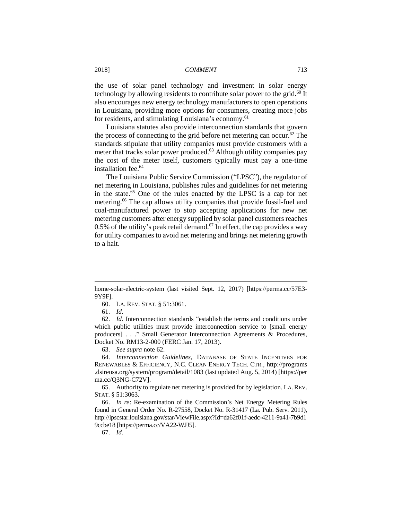the use of solar panel technology and investment in solar energy technology by allowing residents to contribute solar power to the grid.<sup>60</sup> It also encourages new energy technology manufacturers to open operations in Louisiana, providing more options for consumers, creating more jobs for residents, and stimulating Louisiana's economy.<sup>61</sup>

Louisiana statutes also provide interconnection standards that govern the process of connecting to the grid before net metering can occur.<sup>62</sup> The standards stipulate that utility companies must provide customers with a meter that tracks solar power produced.<sup>63</sup> Although utility companies pay the cost of the meter itself, customers typically must pay a one-time installation fee.<sup>64</sup>

The Louisiana Public Service Commission ("LPSC"), the regulator of net metering in Louisiana, publishes rules and guidelines for net metering in the state.<sup>65</sup> One of the rules enacted by the LPSC is a cap for net metering.<sup>66</sup> The cap allows utility companies that provide fossil-fuel and coal-manufactured power to stop accepting applications for new net metering customers after energy supplied by solar panel customers reaches 0.5% of the utility's peak retail demand.<sup>67</sup> In effect, the cap provides a way for utility companies to avoid net metering and brings net metering growth to a halt.

 $\overline{a}$ 

63. *See supra* note 62.

64. *Interconnection Guidelines*, DATABASE OF STATE INCENTIVES FOR RENEWABLES & EFFICIENCY, N.C. CLEAN ENERGY TECH. CTR., http://programs .dsireusa.org/system/program/detail/1083 (last updated Aug. 5, 2014) [https://per ma.cc/Q3NG-C72V].

65. Authority to regulate net metering is provided for by legislation. LA. REV. STAT. § 51:3063.

66. *In re*: Re-examination of the Commission's Net Energy Metering Rules found in General Order No. R-27558, Docket No. R-31417 (La. Pub. Serv. 2011), http://lpscstar.louisiana.gov/star/ViewFile.aspx?Id=da62f01f-aedc-4211-9a41-7b9d1 9ccbe18 [https://perma.cc/VA22-WJJ5].

67. *Id.*

home-solar-electric-system (last visited Sept. 12, 2017) [https://perma.cc/57E3- 9Y9F].

<sup>60.</sup> LA. REV. STAT. § 51:3061.

<sup>61.</sup> *Id.*

<sup>62.</sup> *Id.* Interconnection standards "establish the terms and conditions under which public utilities must provide interconnection service to [small energy producers] . . ." Small Generator Interconnection Agreements & Procedures, Docket No. RM13-2-000 (FERC Jan. 17, 2013).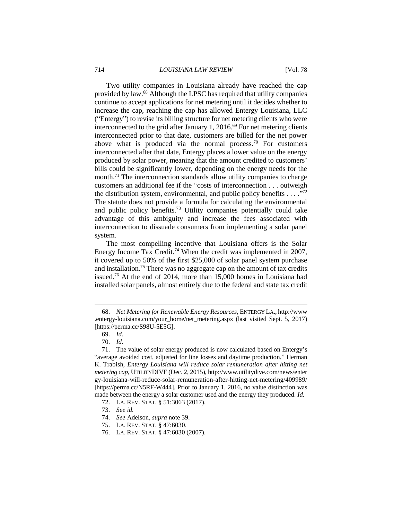Two utility companies in Louisiana already have reached the cap provided by law.<sup>68</sup> Although the LPSC has required that utility companies continue to accept applications for net metering until it decides whether to increase the cap, reaching the cap has allowed Entergy Louisiana, LLC ("Entergy") to revise its billing structure for net metering clients who were interconnected to the grid after January 1, 2016.<sup>69</sup> For net metering clients interconnected prior to that date, customers are billed for the net power above what is produced via the normal process.<sup>70</sup> For customers interconnected after that date, Entergy places a lower value on the energy produced by solar power, meaning that the amount credited to customers' bills could be significantly lower, depending on the energy needs for the month.<sup>71</sup> The interconnection standards allow utility companies to charge customers an additional fee if the "costs of interconnection . . . outweigh the distribution system, environmental, and public policy benefits  $\dots$  ."<sup>72</sup> The statute does not provide a formula for calculating the environmental and public policy benefits.<sup>73</sup> Utility companies potentially could take advantage of this ambiguity and increase the fees associated with interconnection to dissuade consumers from implementing a solar panel system.

The most compelling incentive that Louisiana offers is the Solar Energy Income Tax Credit.<sup>74</sup> When the credit was implemented in 2007, it covered up to 50% of the first \$25,000 of solar panel system purchase and installation.<sup>75</sup> There was no aggregate cap on the amount of tax credits issued.<sup>76</sup> At the end of 2014, more than 15,000 homes in Louisiana had installed solar panels, almost entirely due to the federal and state tax credit

<sup>68.</sup> *Net Metering for Renewable Energy Resources*, ENTERGY LA., http://www .entergy-louisiana.com/your\_home/net\_metering.aspx (last visited Sept. 5, 2017) [https://perma.cc/S98U-5E5G].

<sup>69.</sup> *Id.*

<sup>70.</sup> *Id.*

<sup>71.</sup> The value of solar energy produced is now calculated based on Entergy's "average avoided cost, adjusted for line losses and daytime production." Herman K. Trabish, *Entergy Louisiana will reduce solar remuneration after hitting net metering cap*, UTILITYDIVE (Dec. 2, 2015), http://www.utilitydive.com/news/enter gy-louisiana-will-reduce-solar-remuneration-after-hitting-net-metering/409989/ [https://perma.cc/N5RF-W444]. Prior to January 1, 2016, no value distinction was made between the energy a solar customer used and the energy they produced. *Id.*

<sup>72.</sup> LA. REV. STAT. § 51:3063 (2017).

<sup>73.</sup> *See id.*

<sup>74.</sup> *See* Adelson, *supra* note 39.

<sup>75.</sup> LA. REV. STAT. § 47:6030.

<sup>76.</sup> LA. REV. STAT. § 47:6030 (2007).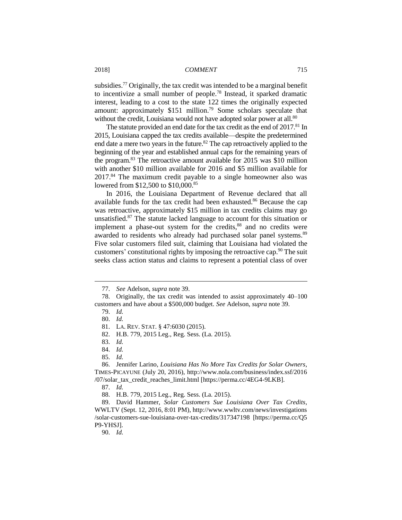subsidies.<sup>77</sup> Originally, the tax credit was intended to be a marginal benefit to incentivize a small number of people.<sup>78</sup> Instead, it sparked dramatic interest, leading to a cost to the state 122 times the originally expected amount: approximately \$151 million.<sup>79</sup> Some scholars speculate that without the credit, Louisiana would not have adopted solar power at all.<sup>80</sup>

The statute provided an end date for the tax credit as the end of 2017.<sup>81</sup> In 2015, Louisiana capped the tax credits available—despite the predetermined end date a mere two years in the future.<sup>82</sup> The cap retroactively applied to the beginning of the year and established annual caps for the remaining years of the program.<sup>83</sup> The retroactive amount available for 2015 was \$10 million with another \$10 million available for 2016 and \$5 million available for 2017.<sup>84</sup> The maximum credit payable to a single homeowner also was lowered from \$12,500 to \$10,000.<sup>85</sup>

In 2016, the Louisiana Department of Revenue declared that all available funds for the tax credit had been exhausted.<sup>86</sup> Because the cap was retroactive, approximately \$15 million in tax credits claims may go unsatisfied.<sup>87</sup> The statute lacked language to account for this situation or implement a phase-out system for the credits,<sup>88</sup> and no credits were awarded to residents who already had purchased solar panel systems.<sup>89</sup> Five solar customers filed suit, claiming that Louisiana had violated the customers' constitutional rights by imposing the retroactive cap.<sup>90</sup> The suit seeks class action status and claims to represent a potential class of over

 $\overline{a}$ 

85. *Id.*

86. Jennifer Larino, *Louisiana Has No More Tax Credits for Solar Owners*, TIMES-PICAYUNE (July 20, 2016), http://www.nola.com/business/index.ssf/2016 /07/solar\_tax\_credit\_reaches\_limit.html [https://perma.cc/4EG4-9LKB].

89. David Hammer, *Solar Customers Sue Louisiana Over Tax Credits*, WWLTV (Sept. 12, 2016, 8:01 PM), http://www.wwltv.com/news/investigations /solar-customers-sue-louisiana-over-tax-credits/317347198 [https://perma.cc/Q5 P9-YHSJ].

90. *Id.*

<sup>77.</sup> *See* Adelson, *supra* note 39.

<sup>78.</sup> Originally, the tax credit was intended to assist approximately 40–100 customers and have about a \$500,000 budget. *See* Adelson, *supra* note 39.

<sup>79.</sup> *Id.*

<sup>80.</sup> *Id.*

<sup>81.</sup> LA. REV. STAT. § 47:6030 (2015).

<sup>82.</sup> H.B. 779, 2015 Leg., Reg. Sess. (La. 2015).

<sup>83.</sup> *Id.*

<sup>84.</sup> *Id.*

<sup>87.</sup> *Id.*

<sup>88.</sup> H.B. 779, 2015 Leg., Reg. Sess. (La. 2015).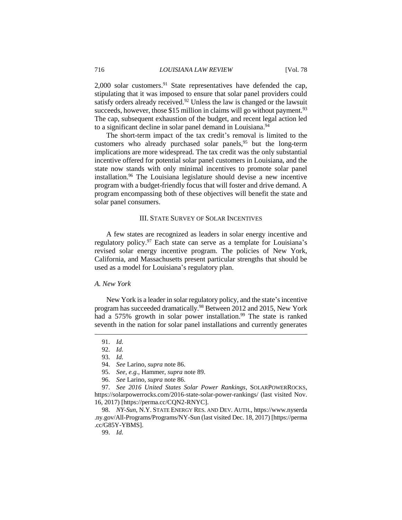$2,000$  solar customers.<sup>91</sup> State representatives have defended the cap, stipulating that it was imposed to ensure that solar panel providers could satisfy orders already received.<sup>92</sup> Unless the law is changed or the lawsuit succeeds, however, those \$15 million in claims will go without payment.<sup>93</sup> The cap, subsequent exhaustion of the budget, and recent legal action led to a significant decline in solar panel demand in Louisiana.<sup>94</sup>

The short-term impact of the tax credit's removal is limited to the customers who already purchased solar panels,<sup>95</sup> but the long-term implications are more widespread. The tax credit was the only substantial incentive offered for potential solar panel customers in Louisiana, and the state now stands with only minimal incentives to promote solar panel installation.<sup>96</sup> The Louisiana legislature should devise a new incentive program with a budget-friendly focus that will foster and drive demand. A program encompassing both of these objectives will benefit the state and solar panel consumers.

#### III. STATE SURVEY OF SOLAR INCENTIVES

A few states are recognized as leaders in solar energy incentive and regulatory policy.<sup>97</sup> Each state can serve as a template for Louisiana's revised solar energy incentive program. The policies of New York, California, and Massachusetts present particular strengths that should be used as a model for Louisiana's regulatory plan.

#### *A. New York*

New York is a leader in solar regulatory policy, and the state's incentive program has succeeded dramatically.<sup>98</sup> Between 2012 and 2015, New York had a 575% growth in solar power installation.<sup>99</sup> The state is ranked seventh in the nation for solar panel installations and currently generates

<sup>91.</sup> *Id.*

<sup>92.</sup> *Id.*

<sup>93.</sup> *Id.*

<sup>94.</sup> *See* Larino, *supra* note 86.

<sup>95.</sup> *See, e.g.*, Hammer, *supra* note 89.

<sup>96.</sup> *See* Larino, *supra* note 86.

<sup>97.</sup> *See 2016 United States Solar Power Rankings*, SOLARPOWERROCKS, https://solarpowerrocks.com/2016-state-solar-power-rankings/ (last visited Nov. 16, 2017) [https://perma.cc/CQN2-RNYC].

<sup>98.</sup> *NY-Sun*, N.Y. STATE ENERGY RES. AND DEV. AUTH., https://www.nyserda .ny.gov/All-Programs/Programs/NY-Sun (last visited Dec. 18, 2017) [https://perma .cc/G85Y-YBMS].

<sup>99.</sup> *Id.*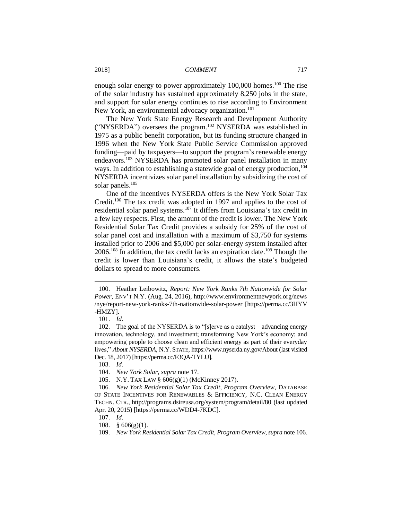enough solar energy to power approximately 100,000 homes.<sup>100</sup> The rise of the solar industry has sustained approximately 8,250 jobs in the state, and support for solar energy continues to rise according to Environment New York, an environmental advocacy organization.<sup>101</sup>

The New York State Energy Research and Development Authority ("NYSERDA") oversees the program.<sup>102</sup> NYSERDA was established in 1975 as a public benefit corporation, but its funding structure changed in 1996 when the New York State Public Service Commission approved funding—paid by taxpayers—to support the program's renewable energy endeavors.<sup>103</sup> NYSERDA has promoted solar panel installation in many ways. In addition to establishing a statewide goal of energy production,<sup>104</sup> NYSERDA incentivizes solar panel installation by subsidizing the cost of solar panels.<sup>105</sup>

One of the incentives NYSERDA offers is the New York Solar Tax Credit.<sup>106</sup> The tax credit was adopted in 1997 and applies to the cost of residential solar panel systems.<sup>107</sup> It differs from Louisiana's tax credit in a few key respects. First, the amount of the credit is lower. The New York Residential Solar Tax Credit provides a subsidy for 25% of the cost of solar panel cost and installation with a maximum of \$3,750 for systems installed prior to 2006 and \$5,000 per solar-energy system installed after 2006.<sup>108</sup> In addition, the tax credit lacks an expiration date.<sup>109</sup> Though the credit is lower than Louisiana's credit, it allows the state's budgeted dollars to spread to more consumers.

<sup>100.</sup> Heather Leibowitz, *Report: New York Ranks 7th Nationwide for Solar Power*, ENV'T N.Y. (Aug. 24, 2016), http://www.environmentnewyork.org/news /nye/report-new-york-ranks-7th-nationwide-solar-power [https://perma.cc/3HYV -HMZY].

<sup>101.</sup> *Id.*

<sup>102.</sup> The goal of the NYSERDA is to "[s]erve as a catalyst – advancing energy innovation, technology, and investment; transforming New York's economy; and empowering people to choose clean and efficient energy as part of their everyday lives," *About NYSERDA*, N.Y. STATE, https://www.nyserda.ny.gov/About (last visited Dec. 18, 2017) [https://perma.cc/F3QA-TYLU].

<sup>103.</sup> *Id.*

<sup>104.</sup> *New York Solar*, *supra* note 17.

<sup>105.</sup> N.Y. TAX LAW § 606(g)(1) (McKinney 2017).

<sup>106</sup>*. New York Residential Solar Tax Credit, Program Overview*, DATABASE OF STATE INCENTIVES FOR RENEWABLES & EFFICIENCY, N.C. CLEAN ENERGY TECHN. CTR., http://programs.dsireusa.org/system/program/detail/80 (last updated Apr. 20, 2015) [https://perma.cc/WDD4-7KDC].

<sup>107.</sup> *Id.*

<sup>108.</sup> § 606(g)(1).

<sup>109.</sup> *New York Residential Solar Tax Credit, Program Overview*,*supra* note 106.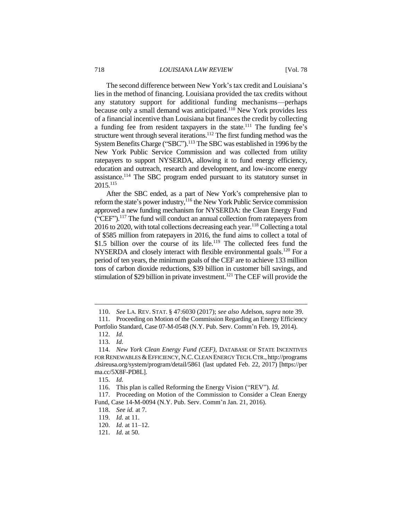The second difference between New York's tax credit and Louisiana's lies in the method of financing. Louisiana provided the tax credits without any statutory support for additional funding mechanisms—perhaps because only a small demand was anticipated.<sup>110</sup> New York provides less of a financial incentive than Louisiana but finances the credit by collecting a funding fee from resident taxpayers in the state.<sup>111</sup> The funding fee's structure went through several iterations.<sup>112</sup> The first funding method was the System Benefits Charge ("SBC").<sup>113</sup> The SBC was established in 1996 by the New York Public Service Commission and was collected from utility ratepayers to support NYSERDA, allowing it to fund energy efficiency, education and outreach, research and development, and low-income energy assistance.<sup>114</sup> The SBC program ended pursuant to its statutory sunset in 2015.<sup>115</sup>

After the SBC ended, as a part of New York's comprehensive plan to reform the state's power industry, $116$  the New York Public Service commission approved a new funding mechanism for NYSERDA: the Clean Energy Fund ("CEF").<sup>117</sup> The fund will conduct an annual collection from ratepayers from  $2016$  to 2020, with total collections decreasing each year.<sup>118</sup> Collecting a total of \$585 million from ratepayers in 2016, the fund aims to collect a total of \$1.5 billion over the course of its life.<sup>119</sup> The collected fees fund the NYSERDA and closely interact with flexible environmental goals.<sup>120</sup> For a period of ten years, the minimum goals of the CEF are to achieve 133 million tons of carbon dioxide reductions, \$39 billion in customer bill savings, and stimulation of \$29 billion in private investment.<sup>121</sup> The CEF will provide the

<sup>110.</sup> *See* LA. REV. STAT. § 47:6030 (2017); *see also* Adelson, *supra* note 39.

<sup>111.</sup> Proceeding on Motion of the Commission Regarding an Energy Efficiency Portfolio Standard, Case 07-M-0548 (N.Y. Pub. Serv. Comm'n Feb. 19, 2014).

<sup>112.</sup> *Id.*

<sup>113.</sup> *Id.*

<sup>114.</sup> *New York Clean Energy Fund (CEF)*, DATABASE OF STATE INCENTIVES FOR RENEWABLES & EFFICIENCY, N.C. CLEAN ENERGY TECH. CTR., http://programs .dsireusa.org/system/program/detail/5861 (last updated Feb. 22, 2017) [https://per ma.cc/5X8F-PD8L].

<sup>115.</sup> *Id.*

<sup>116.</sup> This plan is called Reforming the Energy Vision ("REV"). *Id.*

<sup>117.</sup> Proceeding on Motion of the Commission to Consider a Clean Energy Fund, Case 14-M-0094 (N.Y. Pub. Serv. Comm'n Jan. 21, 2016).

<sup>118.</sup> *See id.* at 7.

<sup>119.</sup> *Id.* at 11.

<sup>120.</sup> *Id.* at 11–12.

<sup>121.</sup> *Id.* at 50.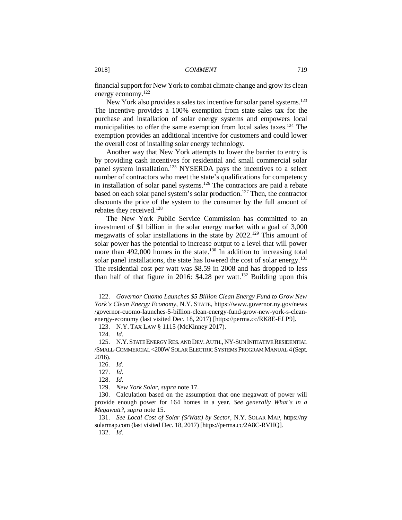financial support for New York to combat climate change and grow its clean energy economy.<sup>122</sup>

New York also provides a sales tax incentive for solar panel systems.<sup>123</sup> The incentive provides a 100% exemption from state sales tax for the purchase and installation of solar energy systems and empowers local municipalities to offer the same exemption from local sales taxes.<sup>124</sup> The exemption provides an additional incentive for customers and could lower the overall cost of installing solar energy technology.

Another way that New York attempts to lower the barrier to entry is by providing cash incentives for residential and small commercial solar panel system installation.<sup>125</sup> NYSERDA pays the incentives to a select number of contractors who meet the state's qualifications for competency in installation of solar panel systems.<sup>126</sup> The contractors are paid a rebate based on each solar panel system's solar production.<sup>127</sup> Then, the contractor discounts the price of the system to the consumer by the full amount of rebates they received.<sup>128</sup>

The New York Public Service Commission has committed to an investment of \$1 billion in the solar energy market with a goal of 3,000 megawatts of solar installations in the state by  $2022$ .<sup>129</sup> This amount of solar power has the potential to increase output to a level that will power more than  $492,000$  homes in the state.<sup>130</sup> In addition to increasing total solar panel installations, the state has lowered the cost of solar energy.<sup>131</sup> The residential cost per watt was \$8.59 in 2008 and has dropped to less than half of that figure in 2016:  $$4.28$  per watt.<sup>132</sup> Building upon this

 $\overline{a}$ 

127. *Id.*

128. *Id.*

129. *New York Solar*, *supra* note 17.

130. Calculation based on the assumption that one megawatt of power will provide enough power for 164 homes in a year. *See generally What's in a Megawatt?*, *supra* note 15.

131. *See Local Cost of Solar (S/Watt) by Sector*, N.Y. SOLAR MAP, https://ny solarmap.com (last visited Dec. 18, 2017) [https://perma.cc/2A8C-RVHQ].

132. *Id.*

<sup>122.</sup> *Governor Cuomo Launches \$5 Billion Clean Energy Fund to Grow New York's Clean Energy Economy*, N.Y. STATE, https://www.governor.ny.gov/news /governor-cuomo-launches-5-billion-clean-energy-fund-grow-new-york-s-cleanenergy-economy (last visited Dec. 18, 2017) [https://perma.cc/RK8E-ELP9].

<sup>123.</sup> N.Y. TAX LAW § 1115 (McKinney 2017).

<sup>124.</sup> *Id.*

<sup>125.</sup> N.Y.STATE ENERGY RES. AND DEV.AUTH., NY-SUN INITIATIVE RESIDENTIAL /SMALL-COMMERCIAL <200WSOLAR ELECTRIC SYSTEMS PROGRAM MANUAL 4 (Sept. 2016).

<sup>126.</sup> *Id.*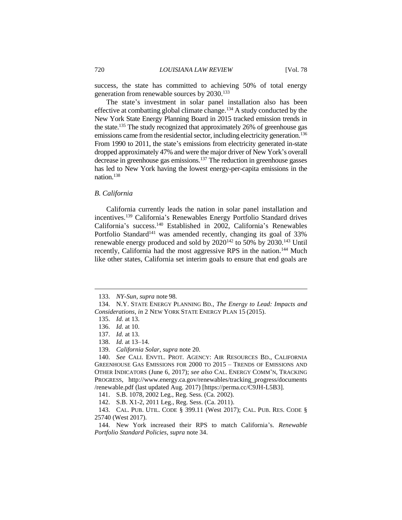success, the state has committed to achieving 50% of total energy generation from renewable sources by 2030.<sup>133</sup>

The state's investment in solar panel installation also has been effective at combatting global climate change.<sup>134</sup> A study conducted by the New York State Energy Planning Board in 2015 tracked emission trends in the state.<sup>135</sup> The study recognized that approximately 26% of greenhouse gas emissions came from the residential sector, including electricity generation.<sup>136</sup> From 1990 to 2011, the state's emissions from electricity generated in-state dropped approximately 47% and were the major driver of New York's overall decrease in greenhouse gas emissions.<sup>137</sup> The reduction in greenhouse gasses has led to New York having the lowest energy-per-capita emissions in the nation.<sup>138</sup>

#### *B. California*

California currently leads the nation in solar panel installation and incentives.<sup>139</sup> California's Renewables Energy Portfolio Standard drives California's success.<sup>140</sup> Established in 2002, California's Renewables Portfolio Standard<sup>141</sup> was amended recently, changing its goal of 33% renewable energy produced and sold by 2020<sup>142</sup> to 50% by 2030.<sup>143</sup> Until recently, California had the most aggressive RPS in the nation.<sup>144</sup> Much like other states, California set interim goals to ensure that end goals are

 $\overline{a}$ 

141. S.B. 1078, 2002 Leg., Reg. Sess. (Ca. 2002).

142. S.B. X1-2, 2011 Leg., Reg. Sess. (Ca. 2011).

143. CAL. PUB. UTIL. CODE § 399.11 (West 2017); CAL. PUB. RES. CODE § 25740 (West 2017).

144. New York increased their RPS to match California's. *Renewable Portfolio Standard Policies*, *supra* note 34.

<sup>133.</sup> *NY-Sun*, *supra* note 98.

<sup>134.</sup> N.Y. STATE ENERGY PLANNING BD., *The Energy to Lead: Impacts and Considerations*, *in* 2 NEW YORK STATE ENERGY PLAN 15 (2015).

<sup>135.</sup> *Id.* at 13.

<sup>136.</sup> *Id.* at 10.

<sup>137.</sup> *Id.* at 13.

<sup>138.</sup> *Id.* at 13–14.

<sup>139.</sup> *California Solar*, *supra* note 20.

<sup>140.</sup> *See* CALI. ENVTL. PROT. AGENCY: AIR RESOURCES BD., CALIFORNIA GREENHOUSE GAS EMISSIONS FOR 2000 TO 2015 – TRENDS OF EMISSIONS AND OTHER INDICATORS (June 6, 2017); *see also* CAL. ENERGY COMM'N, TRACKING PROGRESS, http://www.energy.ca.gov/renewables/tracking\_progress/documents /renewable.pdf (last updated Aug. 2017) [https://perma.cc/C9JH-L5B3].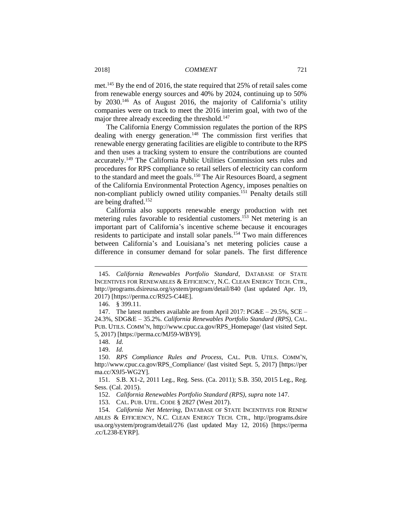met.<sup>145</sup> By the end of 2016, the state required that 25% of retail sales come from renewable energy sources and 40% by 2024, continuing up to 50% by 2030.<sup>146</sup> As of August 2016, the majority of California's utility companies were on track to meet the 2016 interim goal, with two of the major three already exceeding the threshold.<sup>147</sup>

The California Energy Commission regulates the portion of the RPS dealing with energy generation.<sup>148</sup> The commission first verifies that renewable energy generating facilities are eligible to contribute to the RPS and then uses a tracking system to ensure the contributions are counted accurately.<sup>149</sup> The California Public Utilities Commission sets rules and procedures for RPS compliance so retail sellers of electricity can conform to the standard and meet the goals.<sup>150</sup> The Air Resources Board, a segment of the California Environmental Protection Agency, imposes penalties on non-compliant publicly owned utility companies.<sup>151</sup> Penalty details still are being drafted.<sup>152</sup>

California also supports renewable energy production with net metering rules favorable to residential customers. <sup>153</sup> Net metering is an important part of California's incentive scheme because it encourages residents to participate and install solar panels.<sup>154</sup> Two main differences between California's and Louisiana's net metering policies cause a difference in consumer demand for solar panels. The first difference

 $\overline{a}$ 

153. CAL. PUB. UTIL. CODE § 2827 (West 2017).

154. *California Net Metering*, DATABASE OF STATE INCENTIVES FOR RENEW ABLES & EFFICIENCY, N.C. CLEAN ENERGY TECH. CTR., http://programs.dsire usa.org/system/program/detail/276 (last updated May 12, 2016) [https://perma .cc/L238-EYRP].

<sup>145.</sup> *California Renewables Portfolio Standard*, DATABASE OF STATE INCENTIVES FOR RENEWABLES & EFFICIENCY, N.C. CLEAN ENERGY TECH. CTR., http://programs.dsireusa.org/system/program/detail/840 (last updated Apr. 19, 2017) [https://perma.cc/R925-C44E].

<sup>146.</sup> § 399.11.

<sup>147.</sup> The latest numbers available are from April 2017: PG&E – 29.5%, SCE – 24.3%, SDG&E – 35.2%. *California Renewables Portfolio Standard (RPS)*, CAL. PUB. UTILS. COMM'N, http://www.cpuc.ca.gov/RPS\_Homepage/ (last visited Sept. 5, 2017) [https://perma.cc/MJ59-WBY9].

<sup>148.</sup> *Id.*

<sup>149.</sup> *Id.*

<sup>150.</sup> *RPS Compliance Rules and Process*, CAL. PUB. UTILS. COMM'N, http://www.cpuc.ca.gov/RPS\_Compliance/ (last visited Sept. 5, 2017) [https://per ma.cc/X9J5-WG2Y].

<sup>151.</sup> S.B. X1-2, 2011 Leg., Reg. Sess. (Ca. 2011); S.B. 350, 2015 Leg., Reg. Sess. (Cal. 2015).

<sup>152.</sup> *California Renewables Portfolio Standard (RPS)*, *supra* note 147.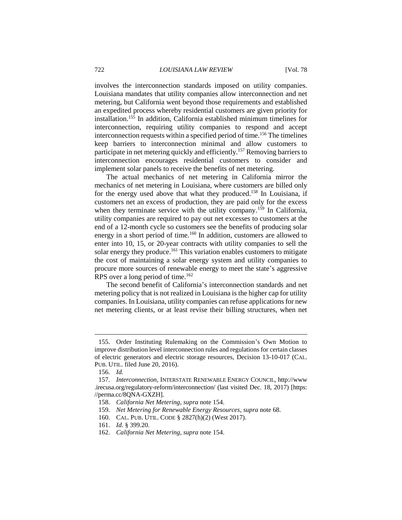involves the interconnection standards imposed on utility companies. Louisiana mandates that utility companies allow interconnection and net metering, but California went beyond those requirements and established an expedited process whereby residential customers are given priority for installation.<sup>155</sup> In addition, California established minimum timelines for interconnection, requiring utility companies to respond and accept interconnection requests within a specified period of time.<sup>156</sup> The timelines keep barriers to interconnection minimal and allow customers to participate in net metering quickly and efficiently.<sup>157</sup> Removing barriers to interconnection encourages residential customers to consider and implement solar panels to receive the benefits of net metering.

The actual mechanics of net metering in California mirror the mechanics of net metering in Louisiana, where customers are billed only for the energy used above that what they produced.<sup>158</sup> In Louisiana, if customers net an excess of production, they are paid only for the excess when they terminate service with the utility company.<sup>159</sup> In California, utility companies are required to pay out net excesses to customers at the end of a 12-month cycle so customers see the benefits of producing solar energy in a short period of time.<sup>160</sup> In addition, customers are allowed to enter into 10, 15, or 20-year contracts with utility companies to sell the solar energy they produce.<sup>161</sup> This variation enables customers to mitigate the cost of maintaining a solar energy system and utility companies to procure more sources of renewable energy to meet the state's aggressive RPS over a long period of time.<sup>162</sup>

The second benefit of California's interconnection standards and net metering policy that is not realized in Louisiana is the higher cap for utility companies. In Louisiana, utility companies can refuse applications for new net metering clients, or at least revise their billing structures, when net

<sup>155.</sup> Order Instituting Rulemaking on the Commission's Own Motion to improve distribution level interconnection rules and regulations for certain classes of electric generators and electric storage resources, Decision 13-10-017 (CAL. PUB. UTIL. filed June 20, 2016).

<sup>156.</sup> *Id.*

<sup>157.</sup> *Interconnection*, INTERSTATE RENEWABLE ENERGY COUNCIL, http://www .irecusa.org/regulatory-reform/interconnection/ (last visited Dec. 18, 2017) [https: //perma.cc/8QNA-GXZH].

<sup>158.</sup> *California Net Metering*, *supra* note 154.

<sup>159.</sup> *Net Metering for Renewable Energy Resources*, *supra* note 68.

<sup>160.</sup> CAL. PUB. UTIL. CODE § 2827(h)(2) (West 2017).

<sup>161.</sup> *Id.* § 399.20.

<sup>162.</sup> *California Net Metering*, *supra* note 154.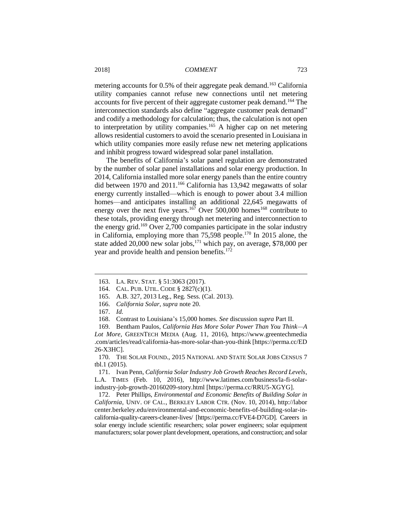metering accounts for 0.5% of their aggregate peak demand.<sup>163</sup> California utility companies cannot refuse new connections until net metering accounts for five percent of their aggregate customer peak demand.<sup>164</sup> The interconnection standards also define "aggregate customer peak demand" and codify a methodology for calculation; thus, the calculation is not open to interpretation by utility companies.<sup>165</sup> A higher cap on net metering allows residential customers to avoid the scenario presented in Louisiana in which utility companies more easily refuse new net metering applications and inhibit progress toward widespread solar panel installation.

The benefits of California's solar panel regulation are demonstrated by the number of solar panel installations and solar energy production. In 2014, California installed more solar energy panels than the entire country did between 1970 and 2011.<sup>166</sup> California has 13,942 megawatts of solar energy currently installed—which is enough to power about 3.4 million homes—and anticipates installing an additional 22,645 megawatts of energy over the next five years.<sup>167</sup> Over 500,000 homes<sup>168</sup> contribute to these totals, providing energy through net metering and interconnection to the energy grid.<sup>169</sup> Over 2,700 companies participate in the solar industry in California, employing more than 75,598 people.<sup>170</sup> In 2015 alone, the state added 20,000 new solar jobs, $^{171}$  which pay, on average, \$78,000 per year and provide health and pension benefits.<sup>172</sup>

 $\overline{a}$ 

172. Peter Phillips, *Environmental and Economic Benefits of Building Solar in California*, UNIV. OF CAL., BERKLEY LABOR CTR. (Nov. 10, 2014), http://labor center.berkeley.edu/environmental-and-economic-benefits-of-building-solar-incalifornia-quality-careers-cleaner-lives/ [https://perma.cc/FVE4-D7GD]. Careers in solar energy include scientific researchers; solar power engineers; solar equipment manufacturers; solar power plant development, operations, and construction; and solar

<sup>163.</sup> LA. REV. STAT. § 51:3063 (2017).

<sup>164.</sup> CAL. PUB. UTIL. CODE § 2827(c)(1).

<sup>165.</sup> A.B. 327, 2013 Leg., Reg. Sess. (Cal. 2013).

<sup>166.</sup> *California Solar*, *supra* note 20.

<sup>167.</sup> *Id.*

<sup>168.</sup> Contrast to Louisiana's 15,000 homes. *See* discussion *supra* Part II.

<sup>169.</sup> Bentham Paulos, *California Has More Solar Power Than You Think—A Lot More*, GREENTECH MEDIA (Aug. 11, 2016), https://www.greentechmedia .com/articles/read/california-has-more-solar-than-you-think [https://perma.cc/ED 26-X3HC].

<sup>170.</sup> THE SOLAR FOUND., 2015 NATIONAL AND STATE SOLAR JOBS CENSUS 7 tbl.1 (2015).

<sup>171.</sup> Ivan Penn, *California Solar Industry Job Growth Reaches Record Levels*, L.A. TIMES (Feb. 10, 2016), http://www.latimes.com/business/la-fi-solarindustry-job-growth-20160209-story.html [https://perma.cc/RRU5-XGYG].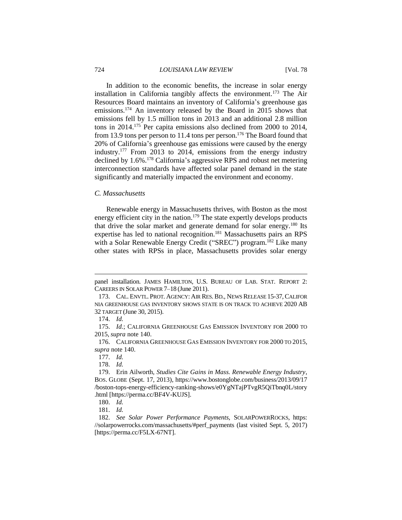#### 724 *LOUISIANA LAW REVIEW* [Vol. 78

In addition to the economic benefits, the increase in solar energy installation in California tangibly affects the environment.<sup>173</sup> The Air Resources Board maintains an inventory of California's greenhouse gas emissions.<sup>174</sup> An inventory released by the Board in 2015 shows that emissions fell by 1.5 million tons in 2013 and an additional 2.8 million tons in 2014.<sup>175</sup> Per capita emissions also declined from 2000 to 2014, from 13.9 tons per person to 11.4 tons per person.<sup>176</sup> The Board found that 20% of California's greenhouse gas emissions were caused by the energy industry.<sup>177</sup> From 2013 to 2014, emissions from the energy industry declined by 1.6%.<sup>178</sup> California's aggressive RPS and robust net metering interconnection standards have affected solar panel demand in the state significantly and materially impacted the environment and economy.

#### *C. Massachusetts*

Renewable energy in Massachusetts thrives, with Boston as the most energy efficient city in the nation.<sup>179</sup> The state expertly develops products that drive the solar market and generate demand for solar energy.<sup>180</sup> Its expertise has led to national recognition.<sup>181</sup> Massachusetts pairs an RPS with a Solar Renewable Energy Credit ("SREC") program.<sup>182</sup> Like many other states with RPSs in place, Massachusetts provides solar energy

panel installation. JAMES HAMILTON, U.S. BUREAU OF LAB. STAT. REPORT 2: CAREERS IN SOLAR POWER 7–18 (June 2011).

<sup>173.</sup> CAL. ENVTL. PROT. AGENCY: AIR RES.BD., NEWS RELEASE 15-37,CALIFOR NIA GREENHOUSE GAS INVENTORY SHOWS STATE IS ON TRACK TO ACHIEVE 2020 AB 32 TARGET (June 30, 2015).

<sup>174.</sup> *Id.*

<sup>175.</sup> *Id.*; CALIFORNIA GREENHOUSE GAS EMISSION INVENTORY FOR 2000 TO 2015, *supra* note 140.

<sup>176.</sup> CALIFORNIA GREENHOUSE GAS EMISSION INVENTORY FOR 2000 TO 2015, *supra* note 140.

<sup>177.</sup> *Id.*

<sup>178.</sup> *Id.*

<sup>179.</sup> Erin Ailworth, *Studies Cite Gains in Mass. Renewable Energy Industry*, BOS. GLOBE (Sept. 17, 2013), https://www.bostonglobe.com/business/2013/09/17 /boston-tops-energy-efficiency-ranking-shows/e0YgNTajPTvgR5QiTbnq0L/story .html [https://perma.cc/BF4V-KUJS].

<sup>180.</sup> *Id.*

<sup>181.</sup> *Id.*

<sup>182.</sup> *See Solar Power Performance Payments*, SOLARPOWERROCKS, https: //solarpowerrocks.com/massachusetts/#perf\_payments (last visited Sept. 5, 2017) [https://perma.cc/F5LX-67NT].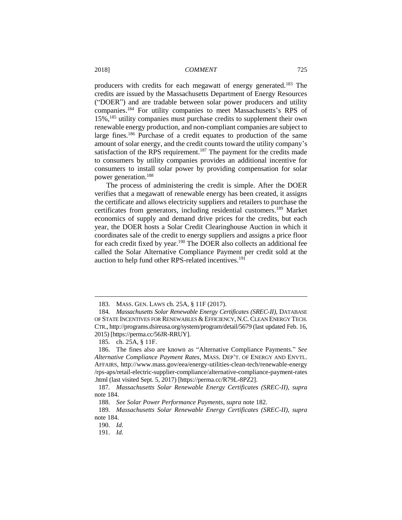producers with credits for each megawatt of energy generated.<sup>183</sup> The credits are issued by the Massachusetts Department of Energy Resources ("DOER") and are tradable between solar power producers and utility companies.<sup>184</sup> For utility companies to meet Massachusetts's RPS of 15%,<sup>185</sup> utility companies must purchase credits to supplement their own renewable energy production, and non-compliant companies are subject to large fines.<sup>186</sup> Purchase of a credit equates to production of the same amount of solar energy, and the credit counts toward the utility company's satisfaction of the RPS requirement.<sup>187</sup> The payment for the credits made to consumers by utility companies provides an additional incentive for consumers to install solar power by providing compensation for solar power generation.<sup>188</sup>

The process of administering the credit is simple. After the DOER verifies that a megawatt of renewable energy has been created, it assigns the certificate and allows electricity suppliers and retailers to purchase the certificates from generators, including residential customers.<sup>189</sup> Market economics of supply and demand drive prices for the credits, but each year, the DOER hosts a Solar Credit Clearinghouse Auction in which it coordinates sale of the credit to energy suppliers and assigns a price floor for each credit fixed by year.<sup>190</sup> The DOER also collects an additional fee called the Solar Alternative Compliance Payment per credit sold at the auction to help fund other RPS-related incentives.<sup>191</sup>

<sup>183.</sup> MASS. GEN. LAWS ch. 25A, § 11F (2017).

<sup>184</sup>*. Massachusetts Solar Renewable Energy Certificates (SREC-II)*, DATABASE OF STATE INCENTIVES FOR RENEWABLES & EFFICIENCY, N.C. CLEAN ENERGY TECH. CTR., http://programs.dsireusa.org/system/program/detail/5679 (last updated Feb. 16, 2015) [https://perma.cc/56JR-RRUY].

<sup>185.</sup> ch. 25A, § 11F.

<sup>186.</sup> The fines also are known as "Alternative Compliance Payments." *See Alternative Compliance Payment Rates*, MASS. DEP'T. OF ENERGY AND ENVTL. AFFAIRS, http://www.mass.gov/eea/energy-utilities-clean-tech/renewable-energy /rps-aps/retail-electric-supplier-compliance/alternative-compliance-payment-rates .html (last visited Sept. 5, 2017) [https://perma.cc/R79L-8PZ2].

<sup>187</sup>*. Massachusetts Solar Renewable Energy Certificates (SREC-II)*, *supra*  note 184.

<sup>188.</sup> *See Solar Power Performance Payments*, *supra* note 182.

<sup>189.</sup> *Massachusetts Solar Renewable Energy Certificates (SREC-II)*, *supra* note 184.

<sup>190.</sup> *Id.*

<sup>191.</sup> *Id.*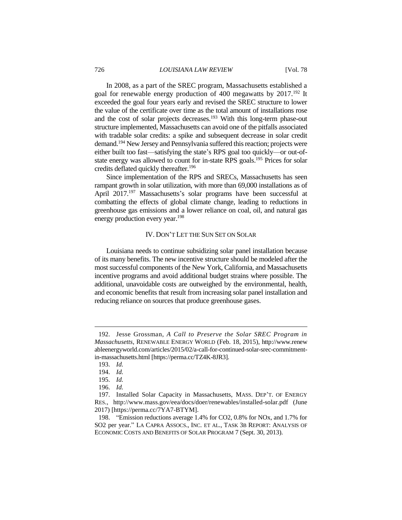In 2008, as a part of the SREC program, Massachusetts established a goal for renewable energy production of 400 megawatts by 2017.<sup>192</sup> It exceeded the goal four years early and revised the SREC structure to lower the value of the certificate over time as the total amount of installations rose and the cost of solar projects decreases.<sup>193</sup> With this long-term phase-out structure implemented, Massachusetts can avoid one of the pitfalls associated with tradable solar credits: a spike and subsequent decrease in solar credit demand.<sup>194</sup> New Jersey and Pennsylvania suffered this reaction; projects were either built too fast—satisfying the state's RPS goal too quickly—or out-ofstate energy was allowed to count for in-state RPS goals.<sup>195</sup> Prices for solar credits deflated quickly thereafter.<sup>196</sup>

Since implementation of the RPS and SRECs, Massachusetts has seen rampant growth in solar utilization, with more than 69,000 installations as of April 2017.<sup>197</sup> Massachusetts's solar programs have been successful at combatting the effects of global climate change, leading to reductions in greenhouse gas emissions and a lower reliance on coal, oil, and natural gas energy production every year.<sup>198</sup>

# IV. DON'T LET THE SUN SET ON SOLAR

Louisiana needs to continue subsidizing solar panel installation because of its many benefits. The new incentive structure should be modeled after the most successful components of the New York, California, and Massachusetts incentive programs and avoid additional budget strains where possible. The additional, unavoidable costs are outweighed by the environmental, health, and economic benefits that result from increasing solar panel installation and reducing reliance on sources that produce greenhouse gases.

<sup>192.</sup> Jesse Grossman, *A Call to Preserve the Solar SREC Program in Massachusetts*, RENEWABLE ENERGY WORLD (Feb. 18, 2015), http://www.renew ableenergyworld.com/articles/2015/02/a-call-for-continued-solar-srec-commitmentin-massachusetts.html [https://perma.cc/TZ4K-8JR3].

<sup>193.</sup> *Id.*

<sup>194.</sup> *Id.*

<sup>195.</sup> *Id.*

<sup>196.</sup> *Id.*

<sup>197.</sup> Installed Solar Capacity in Massachusetts, MASS. DEP'T. OF ENERGY RES., http://www.mass.gov/eea/docs/doer/renewables/installed-solar.pdf (June 2017) [https://perma.cc/7YA7-BTYM].

<sup>198.</sup> "Emission reductions average 1.4% for CO2, 0.8% for NOx, and 1.7% for SO2 per year." LA CAPRA ASSOCS., INC. ET AL., TASK 3B REPORT: ANALYSIS OF ECONOMIC COSTS AND BENEFITS OF SOLAR PROGRAM 7 (Sept. 30, 2013).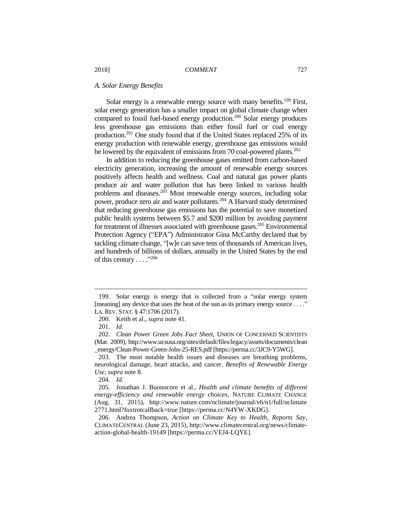# *A. Solar Energy Benefits*

Solar energy is a renewable energy source with many benefits.<sup>199</sup> First, solar energy generation has a smaller impact on global climate change when compared to fossil fuel-based energy production.<sup>200</sup> Solar energy produces less greenhouse gas emissions than either fossil fuel or coal energy production.<sup>201</sup> One study found that if the United States replaced 25% of its energy production with renewable energy, greenhouse gas emissions would be lowered by the equivalent of emissions from 70 coal-powered plants.<sup>202</sup>

In addition to reducing the greenhouse gases emitted from carbon-based electricity generation, increasing the amount of renewable energy sources positively affects health and wellness. Coal and natural gas power plants produce air and water pollution that has been linked to various health problems and diseases.<sup>203</sup> Most renewable energy sources, including solar power, produce zero air and water pollutants.<sup>204</sup> A Harvard study determined that reducing greenhouse gas emissions has the potential to save monetized public health systems between \$5.7 and \$200 million by avoiding payment for treatment of illnesses associated with greenhouse gases.<sup>205</sup> Environmental Protection Agency ("EPA") Administrator Gina McCarthy declared that by tackling climate change, "[w]e can save tens of thousands of American lives, and hundreds of billions of dollars, annually in the United States by the end of this century  $\ldots$ ."206

 $\overline{a}$ 

204. *Id.*

<sup>199.</sup> Solar energy is energy that is collected from a "solar energy system [meaning] any device that uses the heat of the sun as its primary energy source ...." LA. REV. STAT. § 47:1706 (2017).

<sup>200.</sup> Keith et al., *supra* note 41.

<sup>201.</sup> *Id.*

<sup>202.</sup> *Clean Power Green Jobs Fact Sheet*, UNION OF CONCERNED SCIENTISTS (Mar. 2009), http://www.ucsusa.org/sites/default/files/legacy/assets/documents/clean \_energy/Clean-Power-Green-Jobs-25-RES.pdf [https://perma.cc/3JC9-Y5WG].

<sup>203.</sup> The most notable health issues and diseases are breathing problems, neurological damage, heart attacks, and cancer. *Benefits of Renewable Energy Use*, *supra* note 8.

<sup>205.</sup> Jonathan J. Buonocore et al., *Health and climate benefits of different energy-efficiency and renewable energy choices*, NATURE CLIMATE CHANGE (Aug. 31, 2015), http://www.nature.com/nclimate/journal/v6/n1/full/nclimate 2771.html?foxtrotcallback=true [https://perma.cc/N4YW-XKDG].

<sup>206.</sup> Andrea Thompson, *Action on Climate Key to Health, Reports Say*, CLIMATECENTRAL (June 23, 2015), http://www.climatecentral.org/news/climateaction-global-health-19149 [https://perma.cc/VEJ4-LQYE].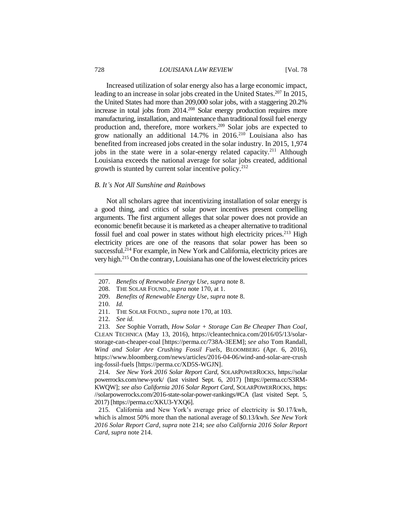Increased utilization of solar energy also has a large economic impact, leading to an increase in solar jobs created in the United States.<sup>207</sup> In 2015, the United States had more than 209,000 solar jobs, with a staggering 20.2% increase in total jobs from 2014.<sup>208</sup> Solar energy production requires more manufacturing, installation, and maintenance than traditional fossil fuel energy production and, therefore, more workers. <sup>209</sup> Solar jobs are expected to grow nationally an additional  $14.7\%$  in  $2016.<sup>210</sup>$  Louisiana also has benefited from increased jobs created in the solar industry. In 2015, 1,974 jobs in the state were in a solar-energy related capacity.<sup>211</sup> Although Louisiana exceeds the national average for solar jobs created, additional growth is stunted by current solar incentive policy. $2^{12}$ 

#### *B. It's Not All Sunshine and Rainbows*

Not all scholars agree that incentivizing installation of solar energy is a good thing, and critics of solar power incentives present compelling arguments. The first argument alleges that solar power does not provide an economic benefit because it is marketed as a cheaper alternative to traditional fossil fuel and coal power in states without high electricity prices.<sup>213</sup> High electricity prices are one of the reasons that solar power has been so successful.<sup> $214$ </sup> For example, in New York and California, electricity prices are very high.<sup>215</sup> On the contrary, Louisiana has one of the lowest electricity prices

 $\overline{a}$ 

214. *See New York 2016 Solar Report Card*, SOLARPOWERROCKS, https://solar powerrocks.com/new-york/ (last visited Sept. 6, 2017) [https://perma.cc/S3RM-KWQW]; *see also California 2016 Solar Report Card*, SOLARPOWERROCKS, https: //solarpowerrocks.com/2016-state-solar-power-rankings/#CA (last visited Sept. 5, 2017) [https://perma.cc/XKU3-YXQ6].

215. California and New York's average price of electricity is \$0.17/kwh, which is almost 50% more than the national average of \$0.13/kwh. *See New York 2016 Solar Report Card*, *supra* note 214; *see also California 2016 Solar Report Card*, *supra* note 214.

<sup>207.</sup> *Benefits of Renewable Energy Use*, *supra* note 8.

<sup>208.</sup> THE SOLAR FOUND., *supra* note 170, at 1.

<sup>209.</sup> *Benefits of Renewable Energy Use*, *supra* note 8.

<sup>210.</sup> *Id.*

<sup>211.</sup> THE SOLAR FOUND., *supra* note 170, at 103.

<sup>212.</sup> *See id.*

<sup>213.</sup> *See* Sophie Vorrath, *How Solar + Storage Can Be Cheaper Than Coal*, CLEAN TECHNICA (May 13, 2016), https://cleantechnica.com/2016/05/13/solarstorage-can-cheaper-coal [https://perma.cc/738A-3EEM]; *see also* Tom Randall, *Wind and Solar Are Crushing Fossil Fuels*, BLOOMBERG (Apr. 6, 2016), https://www.bloomberg.com/news/articles/2016-04-06/wind-and-solar-are-crush ing-fossil-fuels [https://perma.cc/XD5S-WGJN].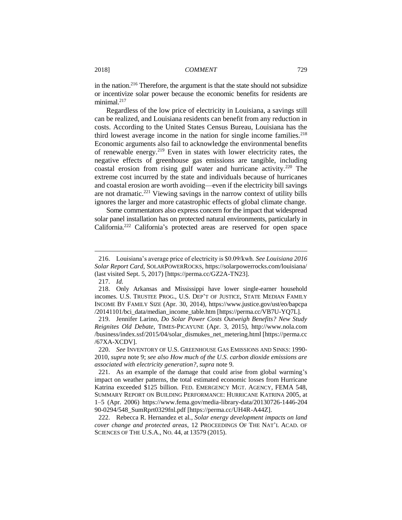in the nation.<sup>216</sup> Therefore, the argument is that the state should not subsidize or incentivize solar power because the economic benefits for residents are minimal.<sup>217</sup>

Regardless of the low price of electricity in Louisiana, a savings still can be realized, and Louisiana residents can benefit from any reduction in costs. According to the United States Census Bureau, Louisiana has the third lowest average income in the nation for single income families. $218$ Economic arguments also fail to acknowledge the environmental benefits of renewable energy.<sup>219</sup> Even in states with lower electricity rates, the negative effects of greenhouse gas emissions are tangible, including coastal erosion from rising gulf water and hurricane activity.<sup>220</sup> The extreme cost incurred by the state and individuals because of hurricanes and coastal erosion are worth avoiding—even if the electricity bill savings are not dramatic.<sup>221</sup> Viewing savings in the narrow context of utility bills ignores the larger and more catastrophic effects of global climate change.

Some commentators also express concern for the impact that widespread solar panel installation has on protected natural environments, particularly in California.<sup>222</sup> California's protected areas are reserved for open space

<sup>216.</sup> Louisiana's average price of electricity is \$0.09/kwh. *See Louisiana 2016 Solar Report Card*, SOLARPOWERROCKS, https://solarpowerrocks.com/louisiana/ (last visited Sept. 5, 2017) [https://perma.cc/GZ2A-TN23].

<sup>217.</sup> *Id.*

<sup>218.</sup> Only Arkansas and Mississippi have lower single-earner household incomes. U.S. TRUSTEE PROG., U.S. DEP'T OF JUSTICE, STATE MEDIAN FAMILY INCOME BY FAMILY SIZE (Apr. 30, 2014), https://www.justice.gov/ust/eo/bapcpa /20141101/bci\_data/median\_income\_table.htm [https://perma.cc/VB7U-YQ7L].

<sup>219.</sup> Jennifer Larino, *Do Solar Power Costs Outweigh Benefits? New Study Reignites Old Debate*, TIMES-PICAYUNE (Apr. 3, 2015), http://www.nola.com /business/index.ssf/2015/04/solar\_dismukes\_net\_metering.html [https://perma.cc /67XA-XCDV].

<sup>220.</sup> *See* INVENTORY OF U.S. GREENHOUSE GAS EMISSIONS AND SINKS: 1990- 2010, *supra* note 9; *see also How much of the U.S. carbon dioxide emissions are associated with electricity generation?*, *supra* note 9.

<sup>221.</sup> As an example of the damage that could arise from global warming's impact on weather patterns, the total estimated economic losses from Hurricane Katrina exceeded \$125 billion. FED. EMERGENCY MGT. AGENCY, FEMA 548, SUMMARY REPORT ON BUILDING PERFORMANCE: HURRICANE KATRINA 2005, at 1–5 (Apr. 2006) https://www.fema.gov/media-library-data/20130726-1446-204 90-0294/548\_SumRprt0329fnl.pdf [https://perma.cc/UH4R-A44Z].

<sup>222.</sup> Rebecca R. Hernandez et al*.*, *Solar energy development impacts on land cover change and protected areas*, 12 PROCEEDINGS OF THE NAT'L ACAD. OF SCIENCES OF THE U.S.A., NO. 44, at 13579 (2015).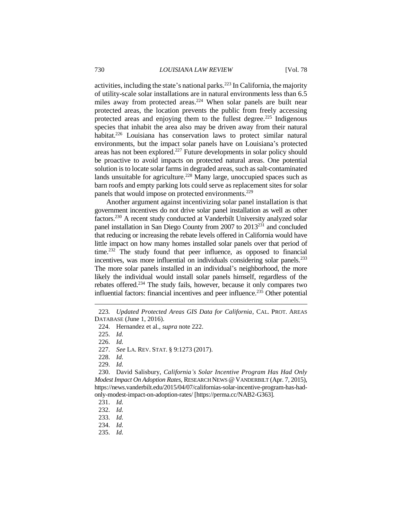activities, including the state's national parks.<sup>223</sup> In California, the majority of utility-scale solar installations are in natural environments less than 6.5 miles away from protected areas.<sup>224</sup> When solar panels are built near protected areas, the location prevents the public from freely accessing protected areas and enjoying them to the fullest degree.<sup>225</sup> Indigenous species that inhabit the area also may be driven away from their natural habitat.<sup>226</sup> Louisiana has conservation laws to protect similar natural environments, but the impact solar panels have on Louisiana's protected areas has not been explored.<sup>227</sup> Future developments in solar policy should be proactive to avoid impacts on protected natural areas. One potential solution is to locate solar farms in degraded areas, such as salt-contaminated lands unsuitable for agriculture.<sup>228</sup> Many large, unoccupied spaces such as barn roofs and empty parking lots could serve as replacement sites for solar panels that would impose on protected environments.<sup>229</sup>

Another argument against incentivizing solar panel installation is that government incentives do not drive solar panel installation as well as other factors.<sup>230</sup> A recent study conducted at Vanderbilt University analyzed solar panel installation in San Diego County from 2007 to 2013<sup>231</sup> and concluded that reducing or increasing the rebate levels offered in California would have little impact on how many homes installed solar panels over that period of time.<sup>232</sup> The study found that peer influence, as opposed to financial incentives, was more influential on individuals considering solar panels.<sup>233</sup> The more solar panels installed in an individual's neighborhood, the more likely the individual would install solar panels himself, regardless of the rebates offered.<sup>234</sup> The study fails, however, because it only compares two influential factors: financial incentives and peer influence.<sup>235</sup> Other potential

 $\overline{a}$ 

228. *Id.*

<sup>223</sup>*. Updated Protected Areas GIS Data for California*, CAL. PROT. AREAS DATABASE (June 1, 2016).

<sup>224.</sup> Hernandez et al., *supra* note 222.

<sup>225.</sup> *Id.*

<sup>226.</sup> *Id.*

<sup>227.</sup> *See* LA. REV. STAT. § 9:1273 (2017).

<sup>229.</sup> *Id.*

<sup>230.</sup> David Salisbury, *California's Solar Incentive Program Has Had Only Modest Impact On Adoption Rates*, RESEARCH NEWS @VANDERBILT (Apr. 7, 2015), https://news.vanderbilt.edu/2015/04/07/californias-solar-incentive-program-has-hadonly-modest-impact-on-adoption-rates/ [https://perma.cc/NAB2-G363].

<sup>231.</sup> *Id.*

<sup>232.</sup> *Id.*

<sup>233.</sup> *Id.*

<sup>234.</sup> *Id.*

<sup>235.</sup> *Id.*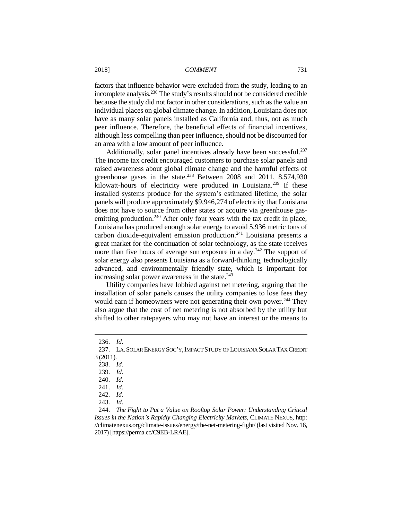factors that influence behavior were excluded from the study, leading to an incomplete analysis.<sup>236</sup> The study's results should not be considered credible because the study did not factor in other considerations, such as the value an individual places on global climate change. In addition, Louisiana does not have as many solar panels installed as California and, thus, not as much peer influence. Therefore, the beneficial effects of financial incentives, although less compelling than peer influence, should not be discounted for an area with a low amount of peer influence.

Additionally, solar panel incentives already have been successful.<sup>237</sup> The income tax credit encouraged customers to purchase solar panels and raised awareness about global climate change and the harmful effects of greenhouse gases in the state.<sup>238</sup> Between 2008 and 2011, 8,574,930 kilowatt-hours of electricity were produced in Louisiana.<sup>239</sup> If these installed systems produce for the system's estimated lifetime, the solar panels will produce approximately \$9,946,274 of electricity that Louisiana does not have to source from other states or acquire via greenhouse gasemitting production.<sup>240</sup> After only four years with the tax credit in place, Louisiana has produced enough solar energy to avoid 5,936 metric tons of carbon dioxide-equivalent emission production. $241$  Louisiana presents a great market for the continuation of solar technology, as the state receives more than five hours of average sun exposure in a day.<sup>242</sup> The support of solar energy also presents Louisiana as a forward-thinking, technologically advanced, and environmentally friendly state, which is important for increasing solar power awareness in the state.<sup>243</sup>

Utility companies have lobbied against net metering, arguing that the installation of solar panels causes the utility companies to lose fees they would earn if homeowners were not generating their own power.<sup>244</sup> They also argue that the cost of net metering is not absorbed by the utility but shifted to other ratepayers who may not have an interest or the means to

<sup>236.</sup> *Id.*

<sup>237.</sup> LA.SOLAR ENERGY SOC'Y,IMPACT STUDY OF LOUISIANA SOLAR TAX CREDIT 3 (2011).

<sup>238.</sup> *Id.*

<sup>239.</sup> *Id.*

<sup>240.</sup> *Id.*

<sup>241.</sup> *Id.*

<sup>242.</sup> *Id.* 

<sup>243.</sup> *Id.* 

<sup>244.</sup> *The Fight to Put a Value on Rooftop Solar Power: Understanding Critical Issues in the Nation's Rapidly Changing Electricity Markets*, CLIMATE NEXUS, http: //climatenexus.org/climate-issues/energy/the-net-metering-fight/ (last visited Nov. 16, 2017) [https://perma.cc/C9EB-LRAE].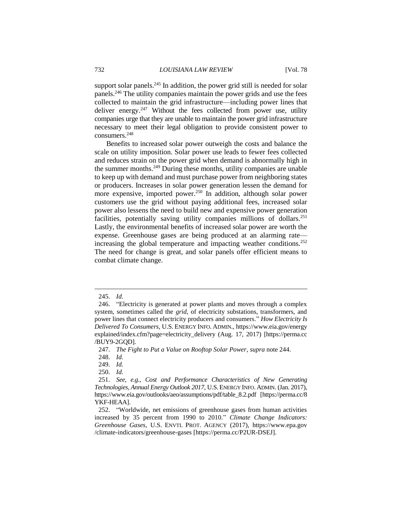support solar panels.<sup>245</sup> In addition, the power grid still is needed for solar panels.<sup>246</sup> The utility companies maintain the power grids and use the fees collected to maintain the grid infrastructure—including power lines that deliver energy. $247$  Without the fees collected from power use, utility companies urge that they are unable to maintain the power grid infrastructure necessary to meet their legal obligation to provide consistent power to consumers.<sup>248</sup>

Benefits to increased solar power outweigh the costs and balance the scale on utility imposition. Solar power use leads to fewer fees collected and reduces strain on the power grid when demand is abnormally high in the summer months.<sup>249</sup> During these months, utility companies are unable to keep up with demand and must purchase power from neighboring states or producers. Increases in solar power generation lessen the demand for more expensive, imported power.<sup>250</sup> In addition, although solar power customers use the grid without paying additional fees, increased solar power also lessens the need to build new and expensive power generation facilities, potentially saving utility companies millions of dollars.<sup>251</sup> Lastly, the environmental benefits of increased solar power are worth the expense. Greenhouse gases are being produced at an alarming rate increasing the global temperature and impacting weather conditions.<sup>252</sup> The need for change is great, and solar panels offer efficient means to combat climate change.

<sup>245.</sup> *Id.* 

<sup>246.</sup> "Electricity is generated at power plants and moves through a complex system, sometimes called the *grid*, of electricity substations, transformers, and power lines that connect electricity producers and consumers." *How Electricity Is Delivered To Consumers*, U.S. ENERGY INFO. ADMIN., https://www.eia.gov/energy explained/index.cfm?page=electricity\_delivery (Aug. 17, 2017) [https://perma.cc /BUY9-2GQD].

<sup>247.</sup> *The Fight to Put a Value on Rooftop Solar Power*, *supra* note 244.

<sup>248.</sup> *Id.*

<sup>249.</sup> *Id.* 

<sup>250.</sup> *Id.* 

<sup>251.</sup> *See, e.g.*, *Cost and Performance Characteristics of New Generating Technologies, Annual Energy Outlook 2017*, U.S.ENERGY INFO. ADMIN. (Jan. 2017), https://www.eia.gov/outlooks/aeo/assumptions/pdf/table\_8.2.pdf [https://perma.cc/8 YKF-HEAA].

<sup>252.</sup> "Worldwide, net emissions of greenhouse gases from human activities increased by 35 percent from 1990 to 2010." *Climate Change Indicators: Greenhouse Gases*, U.S. ENVTL PROT. AGENCY (2017), https://www.epa.gov /climate-indicators/greenhouse-gases [https://perma.cc/P2UR-DSEJ].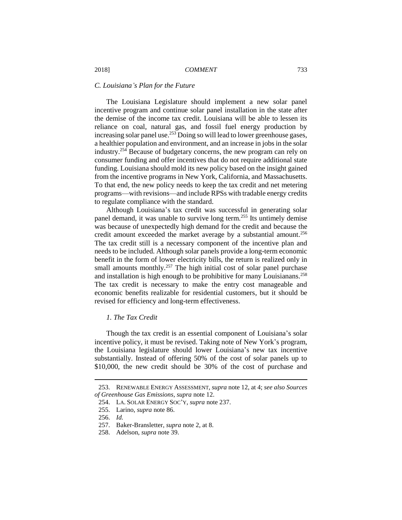# *C. Louisiana's Plan for the Future*

The Louisiana Legislature should implement a new solar panel incentive program and continue solar panel installation in the state after the demise of the income tax credit. Louisiana will be able to lessen its reliance on coal, natural gas, and fossil fuel energy production by increasing solar panel use.<sup>253</sup> Doing so will lead to lower greenhouse gases, a healthier population and environment, and an increase in jobs in the solar industry.<sup>254</sup> Because of budgetary concerns, the new program can rely on consumer funding and offer incentives that do not require additional state funding. Louisiana should mold its new policy based on the insight gained from the incentive programs in New York, California, and Massachusetts. To that end, the new policy needs to keep the tax credit and net metering programs—with revisions—and include RPSs with tradable energy credits to regulate compliance with the standard.

Although Louisiana's tax credit was successful in generating solar panel demand, it was unable to survive long term.<sup>255</sup> Its untimely demise was because of unexpectedly high demand for the credit and because the credit amount exceeded the market average by a substantial amount.<sup>256</sup> The tax credit still is a necessary component of the incentive plan and needs to be included. Although solar panels provide a long-term economic benefit in the form of lower electricity bills, the return is realized only in small amounts monthly.<sup>257</sup> The high initial cost of solar panel purchase and installation is high enough to be prohibitive for many Louisianans.<sup>258</sup> The tax credit is necessary to make the entry cost manageable and economic benefits realizable for residential customers, but it should be revised for efficiency and long-term effectiveness.

# *1. The Tax Credit*

Though the tax credit is an essential component of Louisiana's solar incentive policy, it must be revised. Taking note of New York's program, the Louisiana legislature should lower Louisiana's new tax incentive substantially. Instead of offering 50% of the cost of solar panels up to \$10,000, the new credit should be 30% of the cost of purchase and

<sup>253.</sup> RENEWABLE ENERGY ASSESSMENT, *supra* note 12, at 4; *see also Sources of Greenhouse Gas Emissions*, *supra* note 12.

<sup>254.</sup> LA. SOLAR ENERGY SOC'Y, *supra* note 237.

<sup>255.</sup> Larino, *supra* note 86.

<sup>256.</sup> *Id.*

<sup>257.</sup> Baker-Bransletter, *supra* note 2, at 8.

<sup>258.</sup> Adelson, *supra* note 39.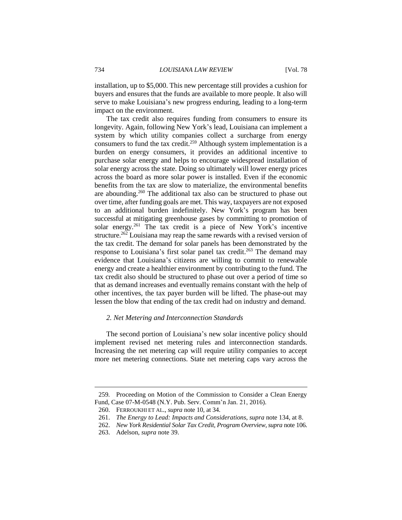installation, up to \$5,000. This new percentage still provides a cushion for buyers and ensures that the funds are available to more people. It also will serve to make Louisiana's new progress enduring, leading to a long-term impact on the environment.

The tax credit also requires funding from consumers to ensure its longevity. Again, following New York's lead, Louisiana can implement a system by which utility companies collect a surcharge from energy consumers to fund the tax credit.<sup>259</sup> Although system implementation is a burden on energy consumers, it provides an additional incentive to purchase solar energy and helps to encourage widespread installation of solar energy across the state. Doing so ultimately will lower energy prices across the board as more solar power is installed. Even if the economic benefits from the tax are slow to materialize, the environmental benefits are abounding.<sup>260</sup> The additional tax also can be structured to phase out over time, after funding goals are met. This way, taxpayers are not exposed to an additional burden indefinitely. New York's program has been successful at mitigating greenhouse gases by committing to promotion of solar energy.<sup>261</sup> The tax credit is a piece of New York's incentive structure.<sup>262</sup> Louisiana may reap the same rewards with a revised version of the tax credit. The demand for solar panels has been demonstrated by the response to Louisiana's first solar panel tax credit.<sup>263</sup> The demand may evidence that Louisiana's citizens are willing to commit to renewable energy and create a healthier environment by contributing to the fund. The tax credit also should be structured to phase out over a period of time so that as demand increases and eventually remains constant with the help of other incentives, the tax payer burden will be lifted. The phase-out may lessen the blow that ending of the tax credit had on industry and demand.

# *2. Net Metering and Interconnection Standards*

The second portion of Louisiana's new solar incentive policy should implement revised net metering rules and interconnection standards. Increasing the net metering cap will require utility companies to accept more net metering connections. State net metering caps vary across the

<sup>259</sup>*.* Proceeding on Motion of the Commission to Consider a Clean Energy Fund, Case 07-M-0548 (N.Y. Pub. Serv. Comm'n Jan. 21, 2016).

<sup>260.</sup> FERROUKHI ET AL., *supra* note 10, at 34.

<sup>261.</sup> *The Energy to Lead: Impacts and Considerations*, *supra* note 134, at 8.

<sup>262.</sup> *New York Residential Solar Tax Credit, Program Overview*,*supra* note 106.

<sup>263.</sup> Adelson, *supra* note 39.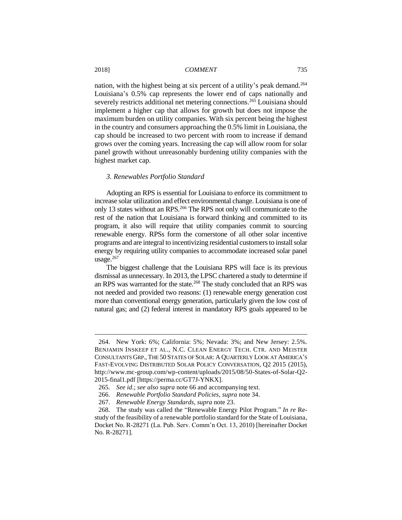nation, with the highest being at six percent of a utility's peak demand.<sup>264</sup> Louisiana's 0.5% cap represents the lower end of caps nationally and severely restricts additional net metering connections.<sup>265</sup> Louisiana should implement a higher cap that allows for growth but does not impose the maximum burden on utility companies. With six percent being the highest in the country and consumers approaching the 0.5% limit in Louisiana, the cap should be increased to two percent with room to increase if demand grows over the coming years. Increasing the cap will allow room for solar panel growth without unreasonably burdening utility companies with the highest market cap.

## *3. Renewables Portfolio Standard*

Adopting an RPS is essential for Louisiana to enforce its commitment to increase solar utilization and effect environmental change. Louisiana is one of only 13 states without an RPS.<sup>266</sup> The RPS not only will communicate to the rest of the nation that Louisiana is forward thinking and committed to its program, it also will require that utility companies commit to sourcing renewable energy. RPSs form the cornerstone of all other solar incentive programs and are integral to incentivizing residential customers to install solar energy by requiring utility companies to accommodate increased solar panel usage.<sup>267</sup>

The biggest challenge that the Louisiana RPS will face is its previous dismissal as unnecessary. In 2013, the LPSC chartered a study to determine if an RPS was warranted for the state.<sup>268</sup> The study concluded that an RPS was not needed and provided two reasons: (1) renewable energy generation cost more than conventional energy generation, particularly given the low cost of natural gas; and (2) federal interest in mandatory RPS goals appeared to be

<sup>264.</sup> New York: 6%; California: 5%; Nevada: 3%; and New Jersey: 2.5%. BENJAMIN INSKEEP ET AL., N.C. CLEAN ENERGY TECH. CTR. AND MEISTER CONSULTANTS GRP., THE 50 STATES OF SOLAR: A QUARTERLY LOOK AT AMERICA'S FAST-EVOLVING DISTRIBUTED SOLAR POLICY CONVERSATION, Q2 2015 (2015), http://www.mc-group.com/wp-content/uploads/2015/08/50-States-of-Solar-Q2- 2015-final1.pdf [https://perma.cc/GT7J-YNKX].

<sup>265.</sup> *See id*.; *see also supra* note 66 and accompanying text.

<sup>266.</sup> *Renewable Portfolio Standard Policies*, *supra* note 34.

<sup>267.</sup> *Renewable Energy Standards*, *supra* note 23.

<sup>268.</sup> The study was called the "Renewable Energy Pilot Program." *In re* Restudy of the feasibility of a renewable portfolio standard for the State of Louisiana, Docket No. R-28271 (La. Pub. Serv. Comm'n Oct. 13, 2010) [hereinafter Docket No. R-28271].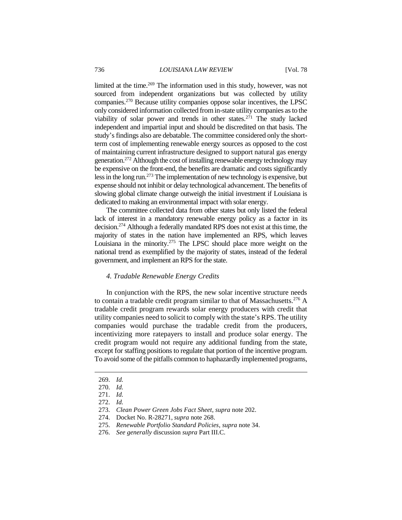limited at the time.<sup>269</sup> The information used in this study, however, was not sourced from independent organizations but was collected by utility companies.<sup>270</sup> Because utility companies oppose solar incentives, the LPSC only considered information collected from in-state utility companies as to the viability of solar power and trends in other states.<sup>271</sup> The study lacked independent and impartial input and should be discredited on that basis. The study's findings also are debatable. The committee considered only the shortterm cost of implementing renewable energy sources as opposed to the cost of maintaining current infrastructure designed to support natural gas energy generation.<sup>272</sup> Although the cost of installing renewable energy technology may be expensive on the front-end, the benefits are dramatic and costs significantly less in the long run.<sup>273</sup> The implementation of new technology is expensive, but expense should not inhibit or delay technological advancement. The benefits of slowing global climate change outweigh the initial investment if Louisiana is dedicated to making an environmental impact with solar energy.

The committee collected data from other states but only listed the federal lack of interest in a mandatory renewable energy policy as a factor in its decision.<sup>274</sup> Although a federally mandated RPS does not exist at this time, the majority of states in the nation have implemented an RPS, which leaves Louisiana in the minority.<sup>275</sup> The LPSC should place more weight on the national trend as exemplified by the majority of states, instead of the federal government, and implement an RPS for the state.

#### *4. Tradable Renewable Energy Credits*

In conjunction with the RPS, the new solar incentive structure needs to contain a tradable credit program similar to that of Massachusetts.<sup>276</sup> A tradable credit program rewards solar energy producers with credit that utility companies need to solicit to comply with the state's RPS. The utility companies would purchase the tradable credit from the producers, incentivizing more ratepayers to install and produce solar energy. The credit program would not require any additional funding from the state, except for staffing positions to regulate that portion of the incentive program. To avoid some of the pitfalls common to haphazardly implemented programs,

<sup>269.</sup> *Id.* 

<sup>270.</sup> *Id.*

<sup>271.</sup> *Id.*

<sup>272.</sup> *Id.*

<sup>273.</sup> *Clean Power Green Jobs Fact Sheet*, *supra* note 202.

<sup>274.</sup> Docket No. R-28271, *supra* note 268.

<sup>275.</sup> *Renewable Portfolio Standard Policies*, *supra* note 34.

<sup>276.</sup> *See generally* discussion *supra* Part III.C.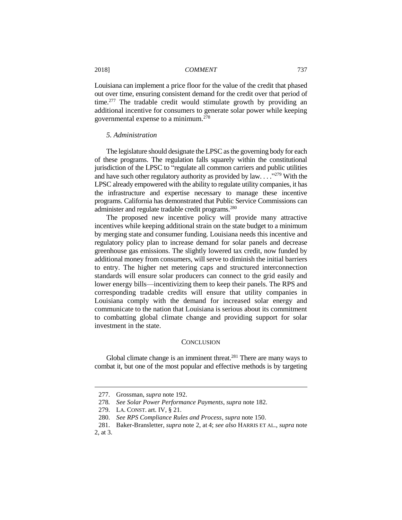Louisiana can implement a price floor for the value of the credit that phased out over time, ensuring consistent demand for the credit over that period of time.<sup>277</sup> The tradable credit would stimulate growth by providing an additional incentive for consumers to generate solar power while keeping governmental expense to a minimum.<sup>278</sup>

# *5. Administration*

The legislature should designate the LPSC as the governing body for each of these programs. The regulation falls squarely within the constitutional jurisdiction of the LPSC to "regulate all common carriers and public utilities and have such other regulatory authority as provided by  $law$ ...."<sup>279</sup> With the LPSC already empowered with the ability to regulate utility companies, it has the infrastructure and expertise necessary to manage these incentive programs. California has demonstrated that Public Service Commissions can administer and regulate tradable credit programs.<sup>280</sup>

The proposed new incentive policy will provide many attractive incentives while keeping additional strain on the state budget to a minimum by merging state and consumer funding. Louisiana needs this incentive and regulatory policy plan to increase demand for solar panels and decrease greenhouse gas emissions. The slightly lowered tax credit, now funded by additional money from consumers, will serve to diminish the initial barriers to entry. The higher net metering caps and structured interconnection standards will ensure solar producers can connect to the grid easily and lower energy bills—incentivizing them to keep their panels. The RPS and corresponding tradable credits will ensure that utility companies in Louisiana comply with the demand for increased solar energy and communicate to the nation that Louisiana is serious about its commitment to combatting global climate change and providing support for solar investment in the state.

#### **CONCLUSION**

Global climate change is an imminent threat.<sup>281</sup> There are many ways to combat it, but one of the most popular and effective methods is by targeting

<sup>277.</sup> Grossman, *supra* note 192.

<sup>278</sup>*. See Solar Power Performance Payments*, *supra* note 182.

<sup>279.</sup> LA. CONST. art. IV, § 21.

<sup>280.</sup> *See RPS Compliance Rules and Process*, *supra* note 150.

<sup>281.</sup> Baker-Bransletter, *supra* note 2, at 4; *see also* HARRIS ET AL., *supra* note 2, at 3.